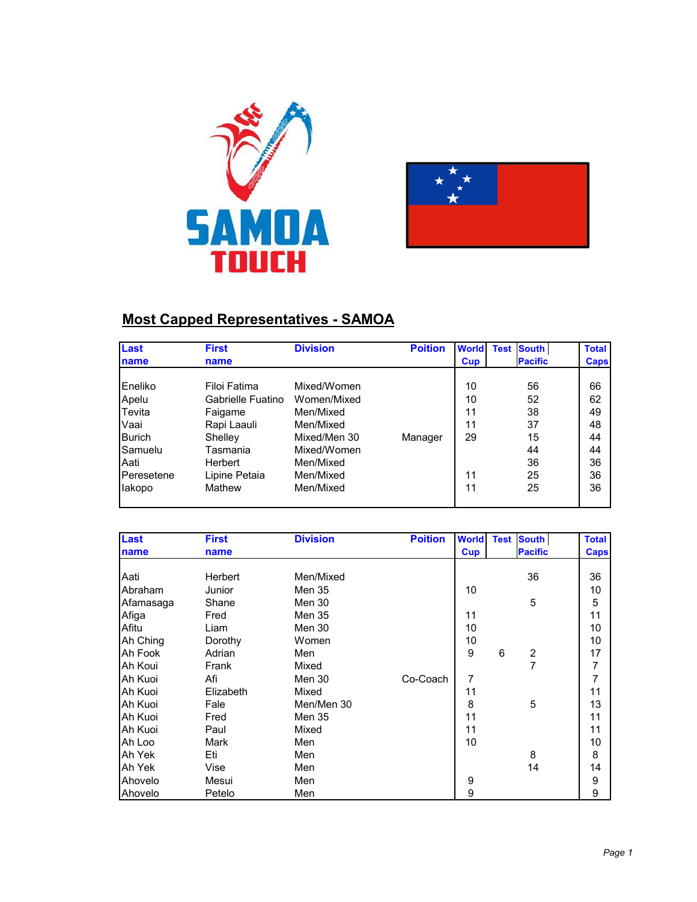



### **Most Capped Representatives - SAMOA**

| Last           | <b>First</b>      | <b>Division</b> | <b>Poition</b> | <b>World</b> | <b>South</b><br><b>Test</b> | <b>Total</b> |
|----------------|-------------------|-----------------|----------------|--------------|-----------------------------|--------------|
| name           | name              |                 |                | <b>Cup</b>   | <b>Pacific</b>              | <b>Caps</b>  |
|                |                   |                 |                |              |                             |              |
| <b>Eneliko</b> | Filoi Fatima      | Mixed/Women     |                | 10           | 56                          | 66           |
| Apelu          | Gabrielle Fuatino | Women/Mixed     |                | 10           | 52                          | 62           |
| Tevita         | Faigame           | Men/Mixed       |                | 11           | 38                          | 49           |
| Vaai           | Rapi Laauli       | Men/Mixed       |                | 11           | 37                          | 48           |
| <b>Burich</b>  | Shelley           | Mixed/Men 30    | Manager        | 29           | 15                          | 44           |
| Samuelu        | Tasmania          | Mixed/Women     |                |              | 44                          | 44           |
| Aati           | Herbert           | Men/Mixed       |                |              | 36                          | 36           |
| Peresetene     | Lipine Petaia     | Men/Mixed       |                | 11           | 25                          | 36           |
| lakopo         | Mathew            | Men/Mixed       |                | 11           | 25                          | 36           |
|                |                   |                 |                |              |                             |              |

| Last      | <b>First</b> | <b>Division</b> | <b>Poition</b> | <b>World</b> |   | <b>Test South</b>       | <b>Total</b>   |
|-----------|--------------|-----------------|----------------|--------------|---|-------------------------|----------------|
| name      | name         |                 |                | Cup          |   | <b>Pacific</b>          | <b>Caps</b>    |
|           |              |                 |                |              |   |                         |                |
| Aati      | Herbert      | Men/Mixed       |                |              |   | 36                      | 36             |
| Abraham   | Junior       | Men 35          |                | 10           |   |                         | 10             |
| Afamasaga | Shane        | Men 30          |                |              |   | 5                       | 5              |
| Afiga     | Fred         | Men 35          |                | 11           |   |                         | 11             |
| Afitu     | Liam         | Men 30          |                | 10           |   |                         | 10             |
| Ah Ching  | Dorothy      | Women           |                | 10           |   |                         | 10             |
| Ah Fook   | Adrian       | Men             |                | 9            | 6 | $\overline{\mathbf{c}}$ | 17             |
| Ah Koui   | Frank        | Mixed           |                |              |   | 7                       | 7              |
| Ah Kuoi   | Afi          | Men 30          | Co-Coach       | 7            |   |                         | $\overline{7}$ |
| Ah Kuoi   | Elizabeth    | Mixed           |                | 11           |   |                         | 11             |
| Ah Kuoi   | Fale         | Men/Men 30      |                | 8            |   | 5                       | 13             |
| Ah Kuoi   | Fred         | Men 35          |                | 11           |   |                         | 11             |
| Ah Kuoi   | Paul         | Mixed           |                | 11           |   |                         | 11             |
| Ah Loo    | Mark         | Men             |                | 10           |   |                         | 10             |
| Ah Yek    | Eti          | Men             |                |              |   | 8                       | 8              |
| Ah Yek    | Vise         | Men             |                |              |   | 14                      | 14             |
| Ahovelo   | Mesui        | Men             |                | 9            |   |                         | 9              |
| Ahovelo   | Petelo       | Men             |                | 9            |   |                         | 9              |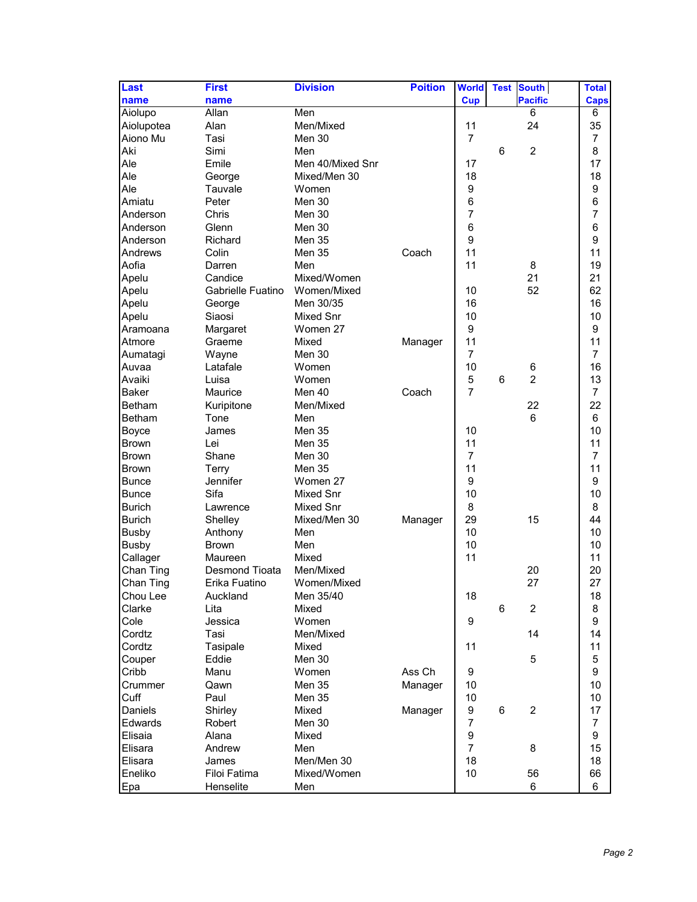| Last          | <b>First</b>          | <b>Division</b>  | <b>Poition</b> | <b>World</b>     | <b>Test</b> | <b>South</b>   | <b>Total</b>         |
|---------------|-----------------------|------------------|----------------|------------------|-------------|----------------|----------------------|
| name          | name                  |                  |                | <b>Cup</b>       |             | <b>Pacific</b> | <b>Caps</b>          |
| Aiolupo       | Allan                 | Men              |                |                  |             | 6              | 6                    |
| Aiolupotea    | Alan                  | Men/Mixed        |                | 11               |             | 24             | 35                   |
| Aiono Mu      | Tasi                  | Men 30           |                | $\overline{7}$   |             |                | $\overline{7}$       |
| Aki           | Simi                  | Men              |                |                  | 6           | $\overline{c}$ | 8                    |
| Ale           | Emile                 | Men 40/Mixed Snr |                | 17               |             |                | 17                   |
| Ale           | George                | Mixed/Men 30     |                | 18               |             |                | 18                   |
| Ale           | Tauvale               | Women            |                | 9                |             |                | 9                    |
| Amiatu        | Peter                 | Men 30           |                | 6                |             |                | 6                    |
| Anderson      | Chris                 | Men 30           |                | $\overline{7}$   |             |                | $\overline{7}$       |
| Anderson      | Glenn                 | Men 30           |                | 6                |             |                | 6                    |
| Anderson      | Richard               | <b>Men 35</b>    |                | 9                |             |                | 9                    |
| Andrews       | Colin                 | Men 35           | Coach          | 11               |             |                | 11                   |
| Aofia         | Darren                | Men              |                | 11               |             | 8              | 19                   |
| Apelu         | Candice               | Mixed/Women      |                |                  |             | 21             | 21                   |
| Apelu         | Gabrielle Fuatino     | Women/Mixed      |                | 10               |             | 52             | 62                   |
| Apelu         | George                | Men 30/35        |                | 16               |             |                | 16                   |
| Apelu         | Siaosi                | Mixed Snr        |                | 10               |             |                | 10                   |
| Aramoana      | Margaret              | Women 27         |                | 9                |             |                | 9                    |
| Atmore        | Graeme                | Mixed            | Manager        | 11               |             |                | 11                   |
| Aumatagi      |                       | Men 30           |                | $\overline{7}$   |             |                | $\overline{7}$       |
| Auvaa         | Wayne<br>Latafale     | Women            |                | 10               |             | 6              | 16                   |
| Avaiki        | Luisa                 | Women            |                | 5                | 6           | $\overline{2}$ | 13                   |
|               |                       |                  |                | $\overline{7}$   |             |                |                      |
| <b>Baker</b>  | Maurice               | Men 40           | Coach          |                  |             |                | $\overline{7}$<br>22 |
| Betham        | Kuripitone            | Men/Mixed        |                |                  |             | 22             |                      |
| <b>Betham</b> | Tone                  | Men              |                |                  |             | 6              | 6                    |
| <b>Boyce</b>  | James                 | <b>Men 35</b>    |                | 10               |             |                | 10                   |
| <b>Brown</b>  | Lei                   | <b>Men 35</b>    |                | 11               |             |                | 11                   |
| <b>Brown</b>  | Shane                 | Men 30           |                | $\overline{7}$   |             |                | $\overline{7}$       |
| <b>Brown</b>  | Terry                 | Men 35           |                | 11               |             |                | 11                   |
| <b>Bunce</b>  | Jennifer              | Women 27         |                | $\boldsymbol{9}$ |             |                | 9                    |
| <b>Bunce</b>  | Sifa                  | Mixed Snr        |                | 10               |             |                | 10                   |
| <b>Burich</b> | Lawrence              | Mixed Snr        |                | 8                |             |                | 8                    |
| <b>Burich</b> | Shelley               | Mixed/Men 30     | Manager        | 29               |             | 15             | 44                   |
| <b>Busby</b>  | Anthony               | Men              |                | 10               |             |                | 10                   |
| <b>Busby</b>  | <b>Brown</b>          | Men              |                | 10               |             |                | 10                   |
| Callager      | Maureen               | Mixed            |                | 11               |             |                | 11                   |
| Chan Ting     | <b>Desmond Tioata</b> | Men/Mixed        |                |                  |             | 20             | 20                   |
| Chan Ting     | Erika Fuatino         | Women/Mixed      |                |                  |             | 27             | 27                   |
| Chou Lee      | Auckland              | Men 35/40        |                | 18               |             |                | 18                   |
| Clarke        | Lita                  | Mixed            |                |                  | 6           | 2              | 8                    |
| Cole          | Jessica               | Women            |                | 9                |             |                | 9                    |
| Cordtz        | Tasi                  | Men/Mixed        |                |                  |             | 14             | 14                   |
| Cordtz        | Tasipale              | Mixed            |                | 11               |             |                | 11                   |
| Couper        | Eddie                 | Men 30           |                |                  |             | 5              | 5                    |
| Cribb         | Manu                  | Women            | Ass Ch         | 9                |             |                | 9                    |
| Crummer       | Qawn                  | Men 35           | Manager        | 10               |             |                | 10                   |
| Cuff          | Paul                  | Men 35           |                | 10               |             |                | 10                   |
| Daniels       | Shirley               | Mixed            | Manager        | 9                | 6           | $\overline{2}$ | 17                   |
| Edwards       | Robert                | Men 30           |                | 7                |             |                | 7                    |
| Elisaia       | Alana                 | Mixed            |                | $\boldsymbol{9}$ |             |                | 9                    |
| Elisara       | Andrew                | Men              |                | $\overline{7}$   |             | 8              | 15                   |
| Elisara       | James                 | Men/Men 30       |                | 18               |             |                | 18                   |
| Eneliko       | Filoi Fatima          | Mixed/Women      |                | 10               |             | 56             | 66                   |
| Epa           | Henselite             | Men              |                |                  |             | 6              | 6                    |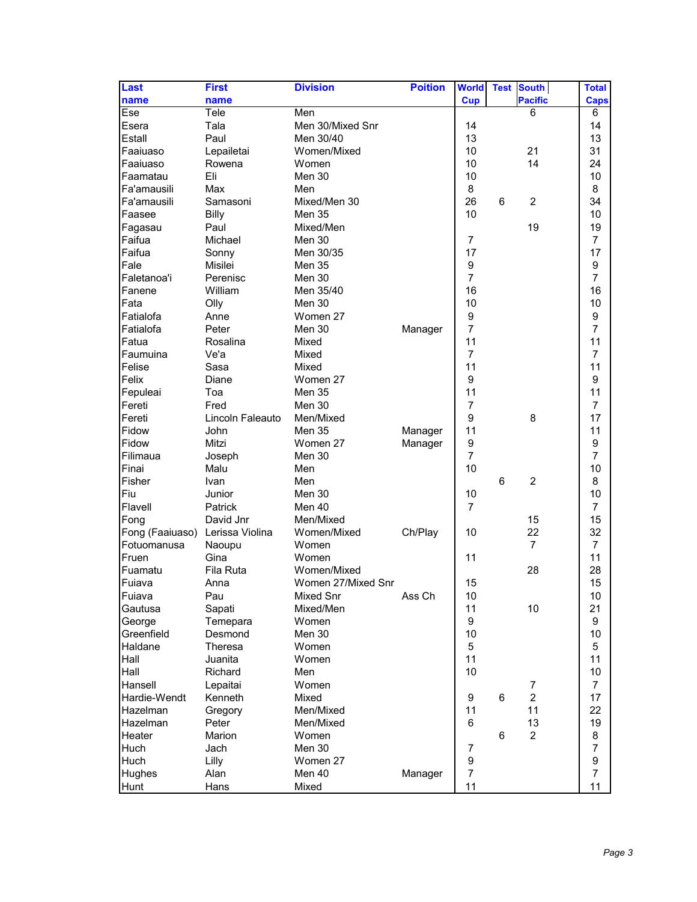| Last                            | <b>First</b>     | <b>Division</b>    | <b>Poition</b> | <b>World</b>   | <b>Test</b> | <b>South</b>   | <b>Total</b>   |
|---------------------------------|------------------|--------------------|----------------|----------------|-------------|----------------|----------------|
| name                            | name             |                    |                | <b>Cup</b>     |             | <b>Pacific</b> | <b>Caps</b>    |
| Ese                             | Tele             | Men                |                |                |             | 6              | 6              |
| Esera                           | Tala             | Men 30/Mixed Snr   |                | 14             |             |                | 14             |
| Estall                          | Paul             | Men 30/40          |                | 13             |             |                | 13             |
| Faaiuaso                        | Lepailetai       | Women/Mixed        |                | 10             |             | 21             | 31             |
| Faaiuaso                        | Rowena           | Women              |                | 10             |             | 14             | 24             |
| Faamatau                        | Eli              | Men 30             |                | 10             |             |                | 10             |
| Fa'amausili                     | Max              | Men                |                | 8              |             |                | 8              |
| Fa'amausili                     | Samasoni         | Mixed/Men 30       |                | 26             | 6           | $\overline{2}$ | 34             |
| Faasee                          | <b>Billy</b>     | <b>Men 35</b>      |                | 10             |             |                | 10             |
| Fagasau                         | Paul             | Mixed/Men          |                |                |             | 19             | 19             |
| Faifua                          | Michael          | Men 30             |                | $\overline{7}$ |             |                | $\overline{7}$ |
| Faifua                          | Sonny            | Men 30/35          |                | 17             |             |                | 17             |
| Fale                            | Misilei          | Men 35             |                | 9              |             |                | 9              |
| Faletanoa'i                     | Perenisc         | Men 30             |                | $\overline{7}$ |             |                | $\overline{7}$ |
| Fanene                          | William          |                    |                | 16             |             |                | 16             |
|                                 |                  | Men 35/40          |                |                |             |                |                |
| Fata<br>Fatialofa               | Olly             | Men 30<br>Women 27 |                | 10             |             |                | 10             |
|                                 | Anne             |                    |                | 9              |             |                | 9              |
| Fatialofa                       | Peter            | Men 30             | Manager        | $\overline{7}$ |             |                | 7              |
| Fatua                           | Rosalina         | Mixed              |                | 11             |             |                | 11             |
| Faumuina                        | Ve'a             | Mixed              |                | $\overline{7}$ |             |                | $\overline{7}$ |
| Felise                          | Sasa             | Mixed              |                | 11             |             |                | 11             |
| Felix                           | Diane            | Women 27           |                | 9              |             |                | 9              |
| Fepuleai                        | Toa              | <b>Men 35</b>      |                | 11             |             |                | 11             |
| Fereti                          | Fred             | Men 30             |                | 7              |             |                | $\overline{7}$ |
| Fereti                          | Lincoln Faleauto | Men/Mixed          |                | 9              |             | 8              | 17             |
| Fidow                           | John             | <b>Men 35</b>      | Manager        | 11             |             |                | 11             |
| Fidow                           | Mitzi            | Women 27           | Manager        | 9              |             |                | 9              |
| Filimaua                        | Joseph           | Men 30             |                | $\overline{7}$ |             |                | $\overline{7}$ |
| Finai                           | Malu             | Men                |                | 10             |             |                | 10             |
| Fisher                          | Ivan             | Men                |                |                | 6           | $\overline{2}$ | 8              |
| Fiu                             | Junior           | Men 30             |                | 10             |             |                | 10             |
| Flavell                         | <b>Patrick</b>   | Men 40             |                | $\overline{7}$ |             |                | $\overline{7}$ |
| Fong                            | David Jnr        | Men/Mixed          |                |                |             | 15             | 15             |
| Fong (Faaiuaso) Lerissa Violina |                  | Women/Mixed        | Ch/Play        | 10             |             | 22             | 32             |
| Fotuomanusa                     | Naoupu           | Women              |                |                |             | 7              | $\overline{7}$ |
| Fruen                           | Gina             | Women              |                | 11             |             |                | 11             |
| Fuamatu                         | Fila Ruta        | Women/Mixed        |                |                |             | 28             | 28             |
| Fuiava                          | Anna             | Women 27/Mixed Snr |                | 15             |             |                | 15             |
| Fuiava                          | Pau              | Mixed Snr          | Ass Ch         | 10             |             |                | 10             |
| Gautusa                         | Sapati           | Mixed/Men          |                | 11             |             | 10             | 21             |
| George                          | Temepara         | Women              |                | 9              |             |                | 9              |
| Greenfield                      | Desmond          | Men 30             |                | 10             |             |                | 10             |
| Haldane                         | Theresa          | Women              |                | 5              |             |                | 5              |
| Hall                            | Juanita          | Women              |                | 11             |             |                | 11             |
| Hall                            | Richard          | Men                |                | 10             |             |                | 10             |
| Hansell                         | Lepaitai         | Women              |                |                |             | 7              | $\overline{7}$ |
| Hardie-Wendt                    | Kenneth          | Mixed              |                | 9              | 6           | $\overline{c}$ | 17             |
| Hazelman                        | Gregory          | Men/Mixed          |                | 11             |             | 11             | 22             |
| Hazelman                        | Peter            | Men/Mixed          |                | 6              |             | 13             | 19             |
| Heater                          | Marion           | Women              |                |                | 6           | $\overline{2}$ | 8              |
| Huch                            | Jach             | Men 30             |                | 7              |             |                | $\overline{7}$ |
|                                 |                  | Women 27           |                | 9              |             |                | 9              |
| Huch                            | Lilly<br>Alan    | Men 40             |                | $\overline{7}$ |             |                | $\overline{7}$ |
| Hughes                          |                  |                    | Manager        |                |             |                |                |
| Hunt                            | Hans             | Mixed              |                | 11             |             |                | 11             |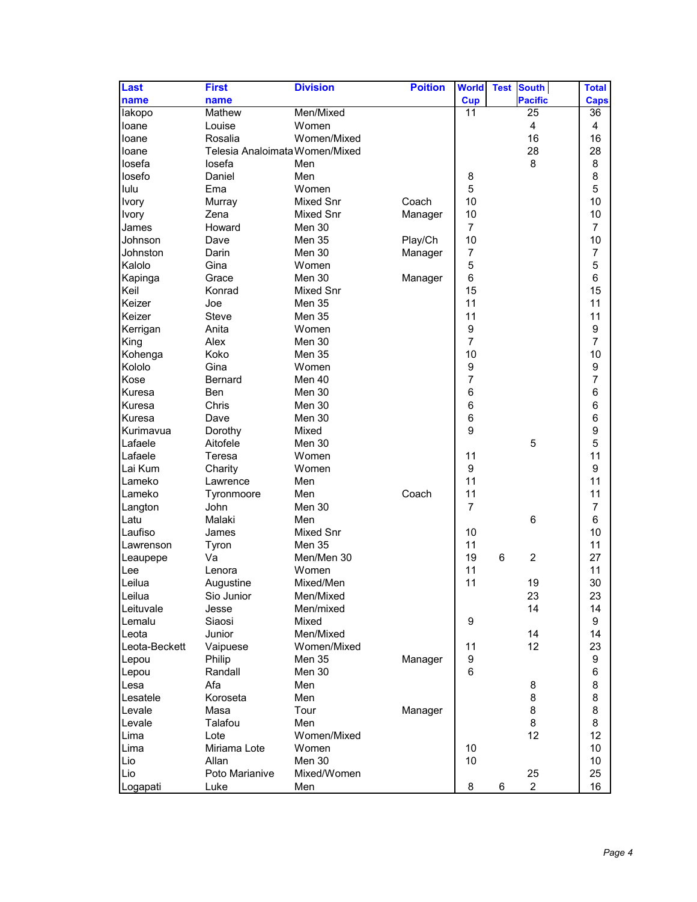| Last          | <b>First</b>                   | <b>Division</b> | <b>Poition</b> | <b>World</b>   | <b>Test</b><br><b>South</b> | <b>Total</b>   |
|---------------|--------------------------------|-----------------|----------------|----------------|-----------------------------|----------------|
| name          | name                           |                 |                | <b>Cup</b>     | <b>Pacific</b>              | <b>Caps</b>    |
| lakopo        | Mathew                         | Men/Mixed       |                | 11             | 25                          | 36             |
| loane         | Louise                         | Women           |                |                | 4                           | 4              |
| loane         | Rosalia                        | Women/Mixed     |                |                | 16                          | 16             |
| loane         | Telesia Analoimata Women/Mixed |                 |                |                | 28                          | 28             |
| losefa        | losefa                         | Men             |                |                | 8                           | 8              |
| losefo        | Daniel                         | Men             |                | 8              |                             | 8              |
| lulu          | Ema                            | Women           |                | 5              |                             | 5              |
| Ivory         | Murray                         | Mixed Snr       | Coach          | 10             |                             | 10             |
| Ivory         | Zena                           | Mixed Snr       | Manager        | 10             |                             | 10             |
| James         | Howard                         | Men 30          |                | $\overline{7}$ |                             | $\overline{7}$ |
| Johnson       | Dave                           | <b>Men 35</b>   | Play/Ch        | 10             |                             | 10             |
| Johnston      | Darin                          | Men 30          | Manager        | 7              |                             | 7              |
| Kalolo        | Gina                           | Women           |                | $\mathbf 5$    |                             | 5              |
| Kapinga       | Grace                          | Men 30          |                | $\,6$          |                             | 6              |
| Keil          |                                |                 | Manager        | 15             |                             | 15             |
| Keizer        | Konrad<br>Joe                  | Mixed Snr       |                | 11             |                             | 11             |
| Keizer        |                                | Men 35          |                |                |                             |                |
|               | <b>Steve</b>                   | Men 35          |                | 11             |                             | 11             |
| Kerrigan      | Anita                          | Women           |                | 9              |                             | 9              |
| King          | Alex                           | Men 30          |                | $\overline{7}$ |                             | 7              |
| Kohenga       | Koko                           | Men 35          |                | 10             |                             | 10             |
| Kololo        | Gina                           | Women           |                | 9              |                             | 9              |
| Kose          | <b>Bernard</b>                 | Men 40          |                | $\overline{7}$ |                             | $\overline{7}$ |
| Kuresa        | <b>Ben</b>                     | Men 30          |                | 6              |                             | 6              |
| Kuresa        | Chris                          | Men 30          |                | 6              |                             | 6              |
| Kuresa        | Dave                           | Men 30          |                | 6              |                             | 6              |
| Kurimavua     | Dorothy                        | Mixed           |                | 9              |                             | 9              |
| Lafaele       | Aitofele                       | Men 30          |                |                | 5                           | 5              |
| Lafaele       | Teresa                         | Women           |                | 11             |                             | 11             |
| Lai Kum       | Charity                        | Women           |                | 9              |                             | 9              |
| Lameko        | Lawrence                       | Men             |                | 11             |                             | 11             |
| Lameko        | Tyronmoore                     | Men             | Coach          | 11             |                             | 11             |
| Langton       | John                           | Men 30          |                | $\overline{7}$ |                             | 7              |
| Latu          | Malaki                         | Men             |                |                | 6                           | 6              |
| Laufiso       | James                          | Mixed Snr       |                | 10             |                             | 10             |
| Lawrenson     | Tyron                          | Men 35          |                | 11             |                             | 11             |
| Leaupepe      | Va                             | Men/Men 30      |                | 19             | $\overline{2}$<br>6         | 27             |
| Lee           | Lenora                         | Women           |                | 11             |                             | 11             |
| Leilua        | Augustine                      | Mixed/Men       |                | 11             | 19                          | 30             |
| Leilua        | Sio Junior                     | Men/Mixed       |                |                | 23                          | 23             |
| Leituvale     | Jesse                          | Men/mixed       |                |                | 14                          | 14             |
| Lemalu        | Siaosi                         | Mixed           |                | 9              |                             | 9              |
| Leota         | Junior                         | Men/Mixed       |                |                | 14                          | 14             |
| Leota-Beckett | Vaipuese                       | Women/Mixed     |                | 11             | 12 <sup>2</sup>             | 23             |
| Lepou         | Philip                         | Men 35          | Manager        | 9              |                             | 9              |
| Lepou         | Randall                        | Men 30          |                | 6              |                             | 6              |
| Lesa          | Afa                            | Men             |                |                | 8                           | 8              |
| Lesatele      | Koroseta                       | Men             |                |                | 8                           | 8              |
| Levale        | Masa                           | Tour            | Manager        |                | 8                           | 8              |
| Levale        | Talafou                        | Men             |                |                | 8                           | 8              |
| Lima          | Lote                           | Women/Mixed     |                |                | 12                          | 12             |
| Lima          | Miriama Lote                   | Women           |                | 10             |                             | 10             |
| Lio           | Allan                          | Men 30          |                | 10             |                             | 10             |
| Lio           | Poto Marianive                 | Mixed/Women     |                |                | 25                          | 25             |
| Logapati      | Luke                           | Men             |                | 8              | $\overline{2}$<br>6         | 16             |
|               |                                |                 |                |                |                             |                |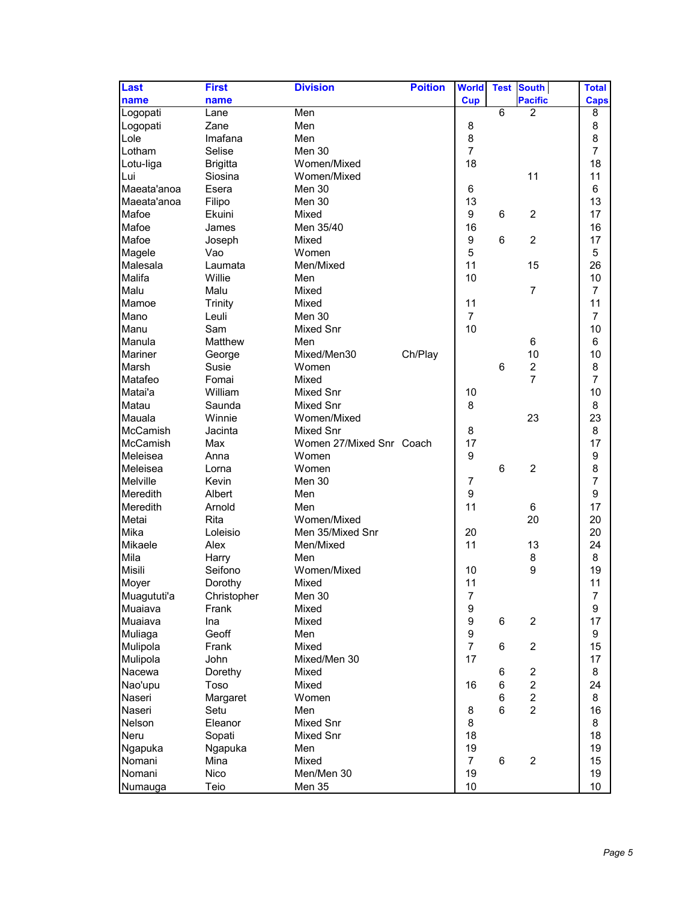| Last            | <b>First</b>    | <b>Division</b>          | <b>Poition</b> | <b>World</b>     | <b>Test</b>    | <b>South</b>   | <b>Total</b>    |
|-----------------|-----------------|--------------------------|----------------|------------------|----------------|----------------|-----------------|
| name            | name            |                          |                | <b>Cup</b>       |                | <b>Pacific</b> | <b>Caps</b>     |
| Logopati        | Lane            | Men                      |                |                  | $\overline{6}$ | $\overline{2}$ | 8               |
| Logopati        | Zane            | Men                      |                | 8                |                |                | 8               |
| Lole            | Imafana         | Men                      |                | 8                |                |                | 8               |
| Lotham          | Selise          | Men 30                   |                | $\overline{7}$   |                |                | $\overline{7}$  |
| Lotu-liga       | <b>Brigitta</b> | Women/Mixed              |                | 18               |                |                | 18              |
| Lui             | Siosina         | Women/Mixed              |                |                  |                | 11             | 11              |
| Maeata'anoa     | Esera           | Men 30                   |                | 6                |                |                | 6               |
| Maeata'anoa     | Filipo          | Men 30                   |                | 13               |                |                | 13              |
| Mafoe           | Ekuini          | Mixed                    |                | 9                | 6              | $\overline{c}$ | 17              |
| Mafoe           | James           | Men 35/40                |                | 16               |                |                | 16              |
| Mafoe           | Joseph          | Mixed                    |                | 9                | 6              | $\overline{2}$ | 17              |
| Magele          | Vao             | Women                    |                | 5                |                |                | 5               |
| Malesala        | Laumata         | Men/Mixed                |                | 11               |                | 15             | 26              |
| Malifa          | Willie          | Men                      |                | 10               |                |                | 10              |
| Malu            | Malu            | Mixed                    |                |                  |                | $\overline{7}$ | $\overline{7}$  |
| Mamoe           | <b>Trinity</b>  | Mixed                    |                | 11               |                |                | 11              |
| Mano            | Leuli           | Men 30                   |                | $\overline{7}$   |                |                | 7               |
| Manu            | Sam             | Mixed Snr                |                | 10               |                |                | 10              |
| Manula          | Matthew         | Men                      |                |                  |                | 6              | 6               |
| Mariner         | George          | Mixed/Men30              | Ch/Play        |                  |                | 10             | 10              |
| Marsh           | Susie           | Women                    |                |                  | 6              | $\overline{c}$ | 8               |
| Matafeo         | Fomai           | Mixed                    |                |                  |                | $\overline{7}$ | $\overline{7}$  |
| Matai'a         | William         | <b>Mixed Snr</b>         |                | 10               |                |                | 10              |
| Matau           | Saunda          | Mixed Snr                |                | 8                |                |                | 8               |
| Mauala          | Winnie          | Women/Mixed              |                |                  |                | 23             | 23              |
| <b>McCamish</b> | Jacinta         | Mixed Snr                |                | 8                |                |                | 8               |
| <b>McCamish</b> | Max             | Women 27/Mixed Snr Coach |                | 17               |                |                | 17              |
| Meleisea        | Anna            | Women                    |                | 9                |                |                | 9               |
| Meleisea        | Lorna           | Women                    |                |                  | 6              | $\overline{2}$ | 8               |
| Melville        | Kevin           | Men 30                   |                | $\overline{7}$   |                |                | 7               |
| Meredith        | Albert          | Men                      |                | 9                |                |                | 9               |
| Meredith        | Arnold          | Men                      |                | 11               |                | 6              | 17              |
| Metai           | Rita            | Women/Mixed              |                |                  |                | 20             | 20              |
| Mika            | Loleisio        | Men 35/Mixed Snr         |                | 20               |                |                | 20              |
| Mikaele         | Alex            | Men/Mixed                |                | 11               |                | 13             | 24              |
| Mila            | Harry           | Men                      |                |                  |                | 8              | 8               |
| Misili          | Seifono         | Women/Mixed              |                | 10               |                | 9              | 19              |
| Moyer           | Dorothy         | Mixed                    |                | 11               |                |                | 11              |
| Muagututi'a     | Christopher     | Men 30                   |                | 7                |                |                | 7               |
| Muaiava         | Frank           | Mixed                    |                | $\boldsymbol{9}$ |                |                | 9               |
| Muaiava         | Ina             | Mixed                    |                | $\boldsymbol{9}$ | 6              | $\overline{c}$ | 17              |
| Muliaga         | Geoff           | Men                      |                | $\boldsymbol{9}$ |                |                | 9               |
| Mulipola        | Frank           | Mixed                    |                | $\overline{7}$   | 6              | $\overline{2}$ | 15              |
| Mulipola        | John            | Mixed/Men 30             |                | 17               |                |                | 17              |
| Nacewa          | Dorethy         | Mixed                    |                |                  | 6              | $\overline{c}$ | 8               |
| Nao'upu         | Toso            | Mixed                    |                | 16               | 6              | $\overline{2}$ | 24              |
| Naseri          | Margaret        | Women                    |                |                  | 6              | $\overline{c}$ | 8               |
| Naseri          | Setu            | Men                      |                | 8                | $6\phantom{1}$ | $\overline{2}$ | 16              |
| Nelson          | Eleanor         | Mixed Snr                |                | 8                |                |                | 8               |
| Neru            | Sopati          | Mixed Snr                |                | 18               |                |                | 18              |
| Ngapuka         | Ngapuka         | Men                      |                | 19               |                |                | 19              |
| Nomani          | Mina            | Mixed                    |                | $\overline{7}$   | 6              | $\overline{c}$ | 15              |
| Nomani          | <b>Nico</b>     | Men/Men 30               |                | 19               |                |                | 19              |
| Numauga         | Teio            | <b>Men 35</b>            |                | 10 <sup>1</sup>  |                |                | 10 <sup>1</sup> |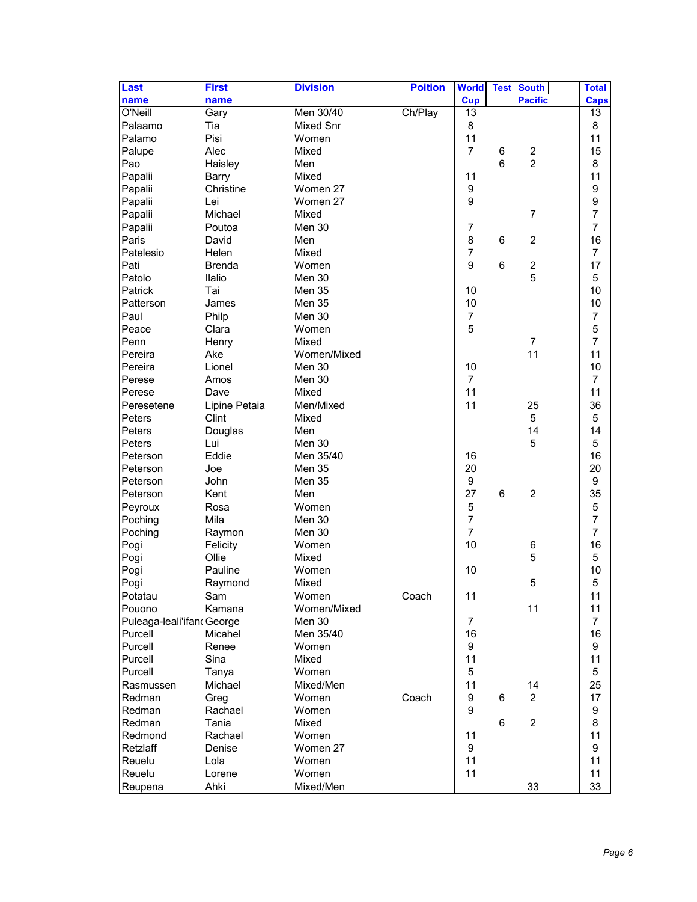| <b>Pacific</b><br><b>Cup</b><br>name<br>name<br><b>Caps</b><br>Men 30/40<br>Ch/Play<br>O'Neill<br>13<br>Gary<br>13<br>Palaamo<br>Tia<br>Mixed Snr<br>8<br>8<br>11<br>Palamo<br>Pisi<br>11<br>Women<br>$\overline{7}$<br>Palupe<br>Alec<br>Mixed<br>$\overline{\mathbf{c}}$<br>15<br>6<br>$\overline{2}$<br>$6\phantom{1}$<br>Pao<br>8<br>Haisley<br>Men<br>11<br>Papalii<br>11<br>Mixed<br>Barry<br>$\boldsymbol{9}$<br>9<br>Papalii<br>Christine<br>Women 27<br>$\boldsymbol{9}$<br>9<br>Papalii<br>Lei<br>Women 27<br>$\overline{7}$<br>Papalii<br>Michael<br>Mixed<br>$\overline{7}$<br>$\overline{7}$<br>Papalii<br>Poutoa<br>Men 30<br>$\overline{7}$<br>Paris<br>8<br>16<br>$\overline{c}$<br>David<br>Men<br>6<br>$\overline{7}$<br>Patelesio<br>$\overline{7}$<br>Helen<br>Mixed<br>9<br>17<br>Pati<br>6<br>$\boldsymbol{2}$<br><b>Brenda</b><br>Women<br>5<br>5<br>Patolo<br>Ilalio<br>Men 30<br>10<br>Patrick<br>Tai<br>10<br>Men 35<br>Patterson<br>10<br>10<br>Men 35<br>James<br>Paul<br>$\overline{7}$<br>$\overline{7}$<br>Philp<br>Men 30<br>$\mathbf 5$<br>Peace<br>5<br>Clara<br>Women<br>$\overline{7}$<br>Penn<br>Mixed<br>$\overline{7}$<br>Henry<br>11<br>11<br>Pereira<br>Ake<br>Women/Mixed<br>Pereira<br>10<br>10<br>Lionel<br>Men 30<br>Perese<br>$\overline{7}$<br>$\overline{7}$<br>Men 30<br>Amos<br>11<br>Perese<br>11<br>Mixed<br>Dave<br>11<br>Peresetene<br>25<br>36<br>Lipine Petaia<br>Men/Mixed<br>Peters<br>Clint<br>5<br>5<br>Mixed<br>Peters<br>14<br>14<br>Douglas<br>Men<br>Peters<br>Men 30<br>5<br>5<br>Lui<br>16<br>Peterson<br>Eddie<br>16<br>Men 35/40<br>Peterson<br>20<br>20<br>Joe<br>Men 35<br>$\boldsymbol{9}$<br>9<br>John<br>Peterson<br>Men 35<br>27<br>35<br>Peterson<br>6<br>$\overline{c}$<br>Kent<br>Men<br>5<br>$\mathbf 5$<br>Peyroux<br>Women<br>Rosa<br>$\overline{7}$<br>$\overline{7}$<br>Poching<br>Mila<br>Men 30<br>$\overline{7}$<br>$\overline{7}$<br>Poching<br>Men 30<br>Raymon<br>10<br>16<br>Pogi<br>Felicity<br>Women<br>6<br>5<br>5<br>Pogi<br>Ollie<br>Mixed<br>10<br>10<br>Pogi<br>Pauline<br>Women<br>Pogi<br>5<br>5<br>Mixed<br>Raymond<br>Coach<br>11<br>Potatau<br>Women<br>Sam<br>11<br>11<br>Pouono<br>Women/Mixed<br>11<br>Kamana |
|-----------------------------------------------------------------------------------------------------------------------------------------------------------------------------------------------------------------------------------------------------------------------------------------------------------------------------------------------------------------------------------------------------------------------------------------------------------------------------------------------------------------------------------------------------------------------------------------------------------------------------------------------------------------------------------------------------------------------------------------------------------------------------------------------------------------------------------------------------------------------------------------------------------------------------------------------------------------------------------------------------------------------------------------------------------------------------------------------------------------------------------------------------------------------------------------------------------------------------------------------------------------------------------------------------------------------------------------------------------------------------------------------------------------------------------------------------------------------------------------------------------------------------------------------------------------------------------------------------------------------------------------------------------------------------------------------------------------------------------------------------------------------------------------------------------------------------------------------------------------------------------------------------------------------------------------------------------------------------------------------------------------------------------------------------------------------------------------------------------------------------------------------------------------------------------------------------------------------|
|                                                                                                                                                                                                                                                                                                                                                                                                                                                                                                                                                                                                                                                                                                                                                                                                                                                                                                                                                                                                                                                                                                                                                                                                                                                                                                                                                                                                                                                                                                                                                                                                                                                                                                                                                                                                                                                                                                                                                                                                                                                                                                                                                                                                                       |
|                                                                                                                                                                                                                                                                                                                                                                                                                                                                                                                                                                                                                                                                                                                                                                                                                                                                                                                                                                                                                                                                                                                                                                                                                                                                                                                                                                                                                                                                                                                                                                                                                                                                                                                                                                                                                                                                                                                                                                                                                                                                                                                                                                                                                       |
|                                                                                                                                                                                                                                                                                                                                                                                                                                                                                                                                                                                                                                                                                                                                                                                                                                                                                                                                                                                                                                                                                                                                                                                                                                                                                                                                                                                                                                                                                                                                                                                                                                                                                                                                                                                                                                                                                                                                                                                                                                                                                                                                                                                                                       |
|                                                                                                                                                                                                                                                                                                                                                                                                                                                                                                                                                                                                                                                                                                                                                                                                                                                                                                                                                                                                                                                                                                                                                                                                                                                                                                                                                                                                                                                                                                                                                                                                                                                                                                                                                                                                                                                                                                                                                                                                                                                                                                                                                                                                                       |
|                                                                                                                                                                                                                                                                                                                                                                                                                                                                                                                                                                                                                                                                                                                                                                                                                                                                                                                                                                                                                                                                                                                                                                                                                                                                                                                                                                                                                                                                                                                                                                                                                                                                                                                                                                                                                                                                                                                                                                                                                                                                                                                                                                                                                       |
|                                                                                                                                                                                                                                                                                                                                                                                                                                                                                                                                                                                                                                                                                                                                                                                                                                                                                                                                                                                                                                                                                                                                                                                                                                                                                                                                                                                                                                                                                                                                                                                                                                                                                                                                                                                                                                                                                                                                                                                                                                                                                                                                                                                                                       |
|                                                                                                                                                                                                                                                                                                                                                                                                                                                                                                                                                                                                                                                                                                                                                                                                                                                                                                                                                                                                                                                                                                                                                                                                                                                                                                                                                                                                                                                                                                                                                                                                                                                                                                                                                                                                                                                                                                                                                                                                                                                                                                                                                                                                                       |
|                                                                                                                                                                                                                                                                                                                                                                                                                                                                                                                                                                                                                                                                                                                                                                                                                                                                                                                                                                                                                                                                                                                                                                                                                                                                                                                                                                                                                                                                                                                                                                                                                                                                                                                                                                                                                                                                                                                                                                                                                                                                                                                                                                                                                       |
|                                                                                                                                                                                                                                                                                                                                                                                                                                                                                                                                                                                                                                                                                                                                                                                                                                                                                                                                                                                                                                                                                                                                                                                                                                                                                                                                                                                                                                                                                                                                                                                                                                                                                                                                                                                                                                                                                                                                                                                                                                                                                                                                                                                                                       |
|                                                                                                                                                                                                                                                                                                                                                                                                                                                                                                                                                                                                                                                                                                                                                                                                                                                                                                                                                                                                                                                                                                                                                                                                                                                                                                                                                                                                                                                                                                                                                                                                                                                                                                                                                                                                                                                                                                                                                                                                                                                                                                                                                                                                                       |
|                                                                                                                                                                                                                                                                                                                                                                                                                                                                                                                                                                                                                                                                                                                                                                                                                                                                                                                                                                                                                                                                                                                                                                                                                                                                                                                                                                                                                                                                                                                                                                                                                                                                                                                                                                                                                                                                                                                                                                                                                                                                                                                                                                                                                       |
|                                                                                                                                                                                                                                                                                                                                                                                                                                                                                                                                                                                                                                                                                                                                                                                                                                                                                                                                                                                                                                                                                                                                                                                                                                                                                                                                                                                                                                                                                                                                                                                                                                                                                                                                                                                                                                                                                                                                                                                                                                                                                                                                                                                                                       |
|                                                                                                                                                                                                                                                                                                                                                                                                                                                                                                                                                                                                                                                                                                                                                                                                                                                                                                                                                                                                                                                                                                                                                                                                                                                                                                                                                                                                                                                                                                                                                                                                                                                                                                                                                                                                                                                                                                                                                                                                                                                                                                                                                                                                                       |
|                                                                                                                                                                                                                                                                                                                                                                                                                                                                                                                                                                                                                                                                                                                                                                                                                                                                                                                                                                                                                                                                                                                                                                                                                                                                                                                                                                                                                                                                                                                                                                                                                                                                                                                                                                                                                                                                                                                                                                                                                                                                                                                                                                                                                       |
|                                                                                                                                                                                                                                                                                                                                                                                                                                                                                                                                                                                                                                                                                                                                                                                                                                                                                                                                                                                                                                                                                                                                                                                                                                                                                                                                                                                                                                                                                                                                                                                                                                                                                                                                                                                                                                                                                                                                                                                                                                                                                                                                                                                                                       |
|                                                                                                                                                                                                                                                                                                                                                                                                                                                                                                                                                                                                                                                                                                                                                                                                                                                                                                                                                                                                                                                                                                                                                                                                                                                                                                                                                                                                                                                                                                                                                                                                                                                                                                                                                                                                                                                                                                                                                                                                                                                                                                                                                                                                                       |
|                                                                                                                                                                                                                                                                                                                                                                                                                                                                                                                                                                                                                                                                                                                                                                                                                                                                                                                                                                                                                                                                                                                                                                                                                                                                                                                                                                                                                                                                                                                                                                                                                                                                                                                                                                                                                                                                                                                                                                                                                                                                                                                                                                                                                       |
|                                                                                                                                                                                                                                                                                                                                                                                                                                                                                                                                                                                                                                                                                                                                                                                                                                                                                                                                                                                                                                                                                                                                                                                                                                                                                                                                                                                                                                                                                                                                                                                                                                                                                                                                                                                                                                                                                                                                                                                                                                                                                                                                                                                                                       |
|                                                                                                                                                                                                                                                                                                                                                                                                                                                                                                                                                                                                                                                                                                                                                                                                                                                                                                                                                                                                                                                                                                                                                                                                                                                                                                                                                                                                                                                                                                                                                                                                                                                                                                                                                                                                                                                                                                                                                                                                                                                                                                                                                                                                                       |
|                                                                                                                                                                                                                                                                                                                                                                                                                                                                                                                                                                                                                                                                                                                                                                                                                                                                                                                                                                                                                                                                                                                                                                                                                                                                                                                                                                                                                                                                                                                                                                                                                                                                                                                                                                                                                                                                                                                                                                                                                                                                                                                                                                                                                       |
|                                                                                                                                                                                                                                                                                                                                                                                                                                                                                                                                                                                                                                                                                                                                                                                                                                                                                                                                                                                                                                                                                                                                                                                                                                                                                                                                                                                                                                                                                                                                                                                                                                                                                                                                                                                                                                                                                                                                                                                                                                                                                                                                                                                                                       |
|                                                                                                                                                                                                                                                                                                                                                                                                                                                                                                                                                                                                                                                                                                                                                                                                                                                                                                                                                                                                                                                                                                                                                                                                                                                                                                                                                                                                                                                                                                                                                                                                                                                                                                                                                                                                                                                                                                                                                                                                                                                                                                                                                                                                                       |
|                                                                                                                                                                                                                                                                                                                                                                                                                                                                                                                                                                                                                                                                                                                                                                                                                                                                                                                                                                                                                                                                                                                                                                                                                                                                                                                                                                                                                                                                                                                                                                                                                                                                                                                                                                                                                                                                                                                                                                                                                                                                                                                                                                                                                       |
|                                                                                                                                                                                                                                                                                                                                                                                                                                                                                                                                                                                                                                                                                                                                                                                                                                                                                                                                                                                                                                                                                                                                                                                                                                                                                                                                                                                                                                                                                                                                                                                                                                                                                                                                                                                                                                                                                                                                                                                                                                                                                                                                                                                                                       |
|                                                                                                                                                                                                                                                                                                                                                                                                                                                                                                                                                                                                                                                                                                                                                                                                                                                                                                                                                                                                                                                                                                                                                                                                                                                                                                                                                                                                                                                                                                                                                                                                                                                                                                                                                                                                                                                                                                                                                                                                                                                                                                                                                                                                                       |
|                                                                                                                                                                                                                                                                                                                                                                                                                                                                                                                                                                                                                                                                                                                                                                                                                                                                                                                                                                                                                                                                                                                                                                                                                                                                                                                                                                                                                                                                                                                                                                                                                                                                                                                                                                                                                                                                                                                                                                                                                                                                                                                                                                                                                       |
|                                                                                                                                                                                                                                                                                                                                                                                                                                                                                                                                                                                                                                                                                                                                                                                                                                                                                                                                                                                                                                                                                                                                                                                                                                                                                                                                                                                                                                                                                                                                                                                                                                                                                                                                                                                                                                                                                                                                                                                                                                                                                                                                                                                                                       |
|                                                                                                                                                                                                                                                                                                                                                                                                                                                                                                                                                                                                                                                                                                                                                                                                                                                                                                                                                                                                                                                                                                                                                                                                                                                                                                                                                                                                                                                                                                                                                                                                                                                                                                                                                                                                                                                                                                                                                                                                                                                                                                                                                                                                                       |
|                                                                                                                                                                                                                                                                                                                                                                                                                                                                                                                                                                                                                                                                                                                                                                                                                                                                                                                                                                                                                                                                                                                                                                                                                                                                                                                                                                                                                                                                                                                                                                                                                                                                                                                                                                                                                                                                                                                                                                                                                                                                                                                                                                                                                       |
|                                                                                                                                                                                                                                                                                                                                                                                                                                                                                                                                                                                                                                                                                                                                                                                                                                                                                                                                                                                                                                                                                                                                                                                                                                                                                                                                                                                                                                                                                                                                                                                                                                                                                                                                                                                                                                                                                                                                                                                                                                                                                                                                                                                                                       |
|                                                                                                                                                                                                                                                                                                                                                                                                                                                                                                                                                                                                                                                                                                                                                                                                                                                                                                                                                                                                                                                                                                                                                                                                                                                                                                                                                                                                                                                                                                                                                                                                                                                                                                                                                                                                                                                                                                                                                                                                                                                                                                                                                                                                                       |
|                                                                                                                                                                                                                                                                                                                                                                                                                                                                                                                                                                                                                                                                                                                                                                                                                                                                                                                                                                                                                                                                                                                                                                                                                                                                                                                                                                                                                                                                                                                                                                                                                                                                                                                                                                                                                                                                                                                                                                                                                                                                                                                                                                                                                       |
|                                                                                                                                                                                                                                                                                                                                                                                                                                                                                                                                                                                                                                                                                                                                                                                                                                                                                                                                                                                                                                                                                                                                                                                                                                                                                                                                                                                                                                                                                                                                                                                                                                                                                                                                                                                                                                                                                                                                                                                                                                                                                                                                                                                                                       |
|                                                                                                                                                                                                                                                                                                                                                                                                                                                                                                                                                                                                                                                                                                                                                                                                                                                                                                                                                                                                                                                                                                                                                                                                                                                                                                                                                                                                                                                                                                                                                                                                                                                                                                                                                                                                                                                                                                                                                                                                                                                                                                                                                                                                                       |
|                                                                                                                                                                                                                                                                                                                                                                                                                                                                                                                                                                                                                                                                                                                                                                                                                                                                                                                                                                                                                                                                                                                                                                                                                                                                                                                                                                                                                                                                                                                                                                                                                                                                                                                                                                                                                                                                                                                                                                                                                                                                                                                                                                                                                       |
|                                                                                                                                                                                                                                                                                                                                                                                                                                                                                                                                                                                                                                                                                                                                                                                                                                                                                                                                                                                                                                                                                                                                                                                                                                                                                                                                                                                                                                                                                                                                                                                                                                                                                                                                                                                                                                                                                                                                                                                                                                                                                                                                                                                                                       |
|                                                                                                                                                                                                                                                                                                                                                                                                                                                                                                                                                                                                                                                                                                                                                                                                                                                                                                                                                                                                                                                                                                                                                                                                                                                                                                                                                                                                                                                                                                                                                                                                                                                                                                                                                                                                                                                                                                                                                                                                                                                                                                                                                                                                                       |
|                                                                                                                                                                                                                                                                                                                                                                                                                                                                                                                                                                                                                                                                                                                                                                                                                                                                                                                                                                                                                                                                                                                                                                                                                                                                                                                                                                                                                                                                                                                                                                                                                                                                                                                                                                                                                                                                                                                                                                                                                                                                                                                                                                                                                       |
|                                                                                                                                                                                                                                                                                                                                                                                                                                                                                                                                                                                                                                                                                                                                                                                                                                                                                                                                                                                                                                                                                                                                                                                                                                                                                                                                                                                                                                                                                                                                                                                                                                                                                                                                                                                                                                                                                                                                                                                                                                                                                                                                                                                                                       |
|                                                                                                                                                                                                                                                                                                                                                                                                                                                                                                                                                                                                                                                                                                                                                                                                                                                                                                                                                                                                                                                                                                                                                                                                                                                                                                                                                                                                                                                                                                                                                                                                                                                                                                                                                                                                                                                                                                                                                                                                                                                                                                                                                                                                                       |
|                                                                                                                                                                                                                                                                                                                                                                                                                                                                                                                                                                                                                                                                                                                                                                                                                                                                                                                                                                                                                                                                                                                                                                                                                                                                                                                                                                                                                                                                                                                                                                                                                                                                                                                                                                                                                                                                                                                                                                                                                                                                                                                                                                                                                       |
| Puleaga-leali'ifano George<br>Men 30<br>7<br>7                                                                                                                                                                                                                                                                                                                                                                                                                                                                                                                                                                                                                                                                                                                                                                                                                                                                                                                                                                                                                                                                                                                                                                                                                                                                                                                                                                                                                                                                                                                                                                                                                                                                                                                                                                                                                                                                                                                                                                                                                                                                                                                                                                        |
| 16<br>16<br>Purcell<br>Micahel<br>Men 35/40                                                                                                                                                                                                                                                                                                                                                                                                                                                                                                                                                                                                                                                                                                                                                                                                                                                                                                                                                                                                                                                                                                                                                                                                                                                                                                                                                                                                                                                                                                                                                                                                                                                                                                                                                                                                                                                                                                                                                                                                                                                                                                                                                                           |
| 9<br>Purcell<br>Renee<br>Women<br>9                                                                                                                                                                                                                                                                                                                                                                                                                                                                                                                                                                                                                                                                                                                                                                                                                                                                                                                                                                                                                                                                                                                                                                                                                                                                                                                                                                                                                                                                                                                                                                                                                                                                                                                                                                                                                                                                                                                                                                                                                                                                                                                                                                                   |
| 11<br>11<br>Purcell<br>Sina<br>Mixed                                                                                                                                                                                                                                                                                                                                                                                                                                                                                                                                                                                                                                                                                                                                                                                                                                                                                                                                                                                                                                                                                                                                                                                                                                                                                                                                                                                                                                                                                                                                                                                                                                                                                                                                                                                                                                                                                                                                                                                                                                                                                                                                                                                  |
| 5<br>Purcell<br>Women<br>5<br>Tanya                                                                                                                                                                                                                                                                                                                                                                                                                                                                                                                                                                                                                                                                                                                                                                                                                                                                                                                                                                                                                                                                                                                                                                                                                                                                                                                                                                                                                                                                                                                                                                                                                                                                                                                                                                                                                                                                                                                                                                                                                                                                                                                                                                                   |
| 11<br>25<br>Michael<br>Mixed/Men<br>14<br>Rasmussen                                                                                                                                                                                                                                                                                                                                                                                                                                                                                                                                                                                                                                                                                                                                                                                                                                                                                                                                                                                                                                                                                                                                                                                                                                                                                                                                                                                                                                                                                                                                                                                                                                                                                                                                                                                                                                                                                                                                                                                                                                                                                                                                                                   |
| Coach<br>9<br>Redman<br>$\overline{2}$<br>17<br>Greg<br>Women<br>6                                                                                                                                                                                                                                                                                                                                                                                                                                                                                                                                                                                                                                                                                                                                                                                                                                                                                                                                                                                                                                                                                                                                                                                                                                                                                                                                                                                                                                                                                                                                                                                                                                                                                                                                                                                                                                                                                                                                                                                                                                                                                                                                                    |
| Redman<br>Rachael<br>Women<br>9<br>9                                                                                                                                                                                                                                                                                                                                                                                                                                                                                                                                                                                                                                                                                                                                                                                                                                                                                                                                                                                                                                                                                                                                                                                                                                                                                                                                                                                                                                                                                                                                                                                                                                                                                                                                                                                                                                                                                                                                                                                                                                                                                                                                                                                  |
| $\overline{2}$<br>8<br>Redman<br>Tania<br>Mixed<br>6                                                                                                                                                                                                                                                                                                                                                                                                                                                                                                                                                                                                                                                                                                                                                                                                                                                                                                                                                                                                                                                                                                                                                                                                                                                                                                                                                                                                                                                                                                                                                                                                                                                                                                                                                                                                                                                                                                                                                                                                                                                                                                                                                                  |
| 11<br>11<br>Redmond<br>Rachael<br>Women                                                                                                                                                                                                                                                                                                                                                                                                                                                                                                                                                                                                                                                                                                                                                                                                                                                                                                                                                                                                                                                                                                                                                                                                                                                                                                                                                                                                                                                                                                                                                                                                                                                                                                                                                                                                                                                                                                                                                                                                                                                                                                                                                                               |
| 9<br>Retzlaff<br>Denise<br>Women 27<br>9                                                                                                                                                                                                                                                                                                                                                                                                                                                                                                                                                                                                                                                                                                                                                                                                                                                                                                                                                                                                                                                                                                                                                                                                                                                                                                                                                                                                                                                                                                                                                                                                                                                                                                                                                                                                                                                                                                                                                                                                                                                                                                                                                                              |
| Reuelu<br>11<br>11<br>Lola<br>Women                                                                                                                                                                                                                                                                                                                                                                                                                                                                                                                                                                                                                                                                                                                                                                                                                                                                                                                                                                                                                                                                                                                                                                                                                                                                                                                                                                                                                                                                                                                                                                                                                                                                                                                                                                                                                                                                                                                                                                                                                                                                                                                                                                                   |
| 11<br>Reuelu<br>Lorene<br>Women<br>11                                                                                                                                                                                                                                                                                                                                                                                                                                                                                                                                                                                                                                                                                                                                                                                                                                                                                                                                                                                                                                                                                                                                                                                                                                                                                                                                                                                                                                                                                                                                                                                                                                                                                                                                                                                                                                                                                                                                                                                                                                                                                                                                                                                 |
| 33<br>Ahki<br>Mixed/Men<br>33<br>Reupena                                                                                                                                                                                                                                                                                                                                                                                                                                                                                                                                                                                                                                                                                                                                                                                                                                                                                                                                                                                                                                                                                                                                                                                                                                                                                                                                                                                                                                                                                                                                                                                                                                                                                                                                                                                                                                                                                                                                                                                                                                                                                                                                                                              |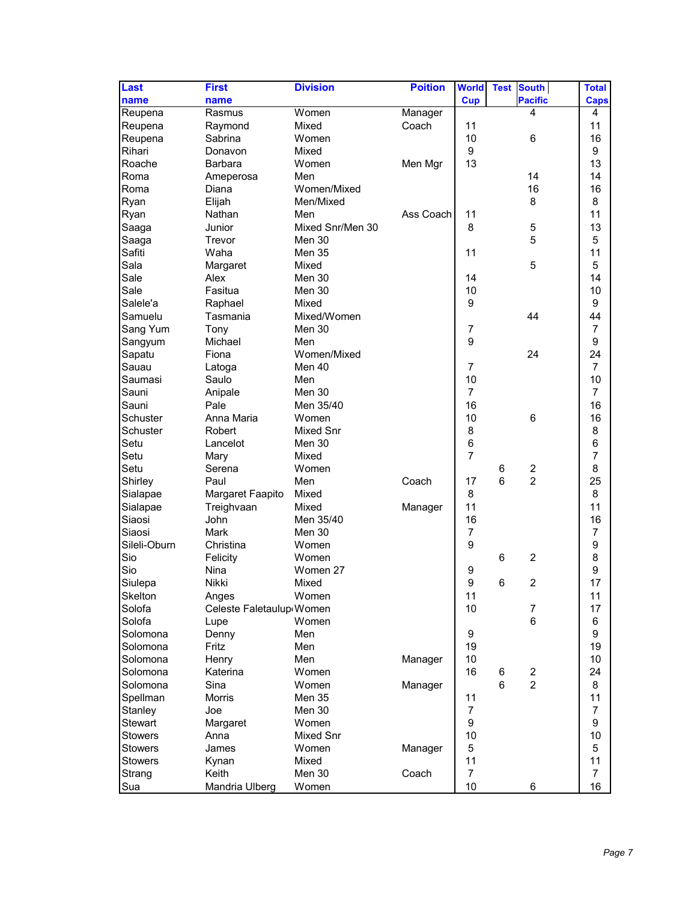| Last           | <b>First</b>             | <b>Division</b>  | <b>Poition</b> | <b>World</b>   | <b>Test</b><br><b>South</b>  | <b>Total</b>   |
|----------------|--------------------------|------------------|----------------|----------------|------------------------------|----------------|
| name           | name                     |                  |                | Cup            | <b>Pacific</b>               | <b>Caps</b>    |
| Reupena        | Rasmus                   | Women            | Manager        |                | 4                            | 4              |
| Reupena        | Raymond                  | Mixed            | Coach          | 11             |                              | 11             |
| Reupena        | Sabrina                  | Women            |                | 10             | $\,6$                        | 16             |
| Rihari         | Donavon                  | Mixed            |                | 9              |                              | 9              |
| Roache         | <b>Barbara</b>           | Women            | Men Mgr        | 13             |                              | 13             |
| Roma           | Ameperosa                | Men              |                |                | 14                           | 14             |
| Roma           | Diana                    | Women/Mixed      |                |                | 16                           | 16             |
| Ryan           | Elijah                   | Men/Mixed        |                |                | 8                            | 8              |
| Ryan           | Nathan                   | Men              | Ass Coach      | 11             |                              | 11             |
| Saaga          | Junior                   | Mixed Snr/Men 30 |                | 8              | 5                            | 13             |
| Saaga          | Trevor                   | Men 30           |                |                | 5                            | 5              |
| Safiti         | Waha                     | Men 35           |                | 11             |                              | 11             |
| Sala           | Margaret                 | Mixed            |                |                | 5                            | 5              |
| Sale           | Alex                     | Men 30           |                | 14             |                              | 14             |
| Sale           | Fasitua                  | Men 30           |                | 10             |                              | 10             |
| Salele'a       | Raphael                  | Mixed            |                | 9              |                              | 9              |
| Samuelu        | Tasmania                 | Mixed/Women      |                |                | 44                           | 44             |
| Sang Yum       | Tony                     | Men 30           |                | $\overline{7}$ |                              | $\overline{7}$ |
| Sangyum        | Michael                  | Men              |                | 9              |                              | 9              |
| Sapatu         | Fiona                    | Women/Mixed      |                |                | 24                           | 24             |
| Sauau          | Latoga                   | Men 40           |                | 7              |                              | $\overline{7}$ |
| Saumasi        | Saulo                    | Men              |                | 10             |                              | 10             |
| Sauni          | Anipale                  | Men 30           |                | $\overline{7}$ |                              | $\overline{7}$ |
| Sauni          | Pale                     | Men 35/40        |                | 16             |                              | 16             |
| Schuster       | Anna Maria               | Women            |                | 10             | $\,6$                        | 16             |
| Schuster       | Robert                   | Mixed Snr        |                | 8              |                              | 8              |
| Setu           | Lancelot                 | Men 30           |                | 6              |                              | 6              |
| Setu           | Mary                     | Mixed            |                | $\overline{7}$ |                              | $\overline{7}$ |
| Setu           | Serena                   | Women            |                |                | $\overline{c}$<br>6          | 8              |
| Shirley        | Paul                     | Men              | Coach          | 17             | $\overline{2}$<br>6          | 25             |
| Sialapae       | Margaret Faapito         | Mixed            |                | 8              |                              | 8              |
| Sialapae       | Treighvaan               | Mixed            | Manager        | 11             |                              | 11             |
| Siaosi         | John                     | Men 35/40        |                | 16             |                              | 16             |
| Siaosi         | Mark                     | Men 30           |                | $\overline{7}$ |                              | 7              |
| Sileli-Oburn   | Christina                | Women            |                | 9              |                              | 9              |
| Sio            | Felicity                 | Women            |                |                | 6<br>$\overline{c}$          | 8              |
| Sio            | Nina                     | Women 27         |                | 9              |                              | 9              |
| Siulepa        | Nikki                    | Mixed            |                | 9              | 6<br>$\overline{2}$          | 17             |
| <b>Skelton</b> | Anges                    | Women            |                | 11             |                              | 11             |
| Solofa         | Celeste Faletaulup Women |                  |                | 10             | 7                            | 17             |
| Solofa         | Lupe                     | Women            |                |                | $\,6$                        | 6              |
| Solomona       | Denny                    | Men              |                | 9              |                              | 9              |
| Solomona       | Fritz                    | Men              |                | 19             |                              | 19             |
| Solomona       | Henry                    | Men              | Manager        | 10             |                              | 10             |
| Solomona       | Katerina                 | Women            |                | 16             | $\overline{\mathbf{c}}$<br>6 | 24             |
| Solomona       | Sina                     | Women            | Manager        |                | $\overline{c}$<br>6          | 8              |
| Spellman       | Morris                   | Men 35           |                | 11             |                              | 11             |
| Stanley        | Joe                      | <b>Men 30</b>    |                | 7              |                              | 7              |
| <b>Stewart</b> | Margaret                 | Women            |                | 9              |                              | 9              |
| <b>Stowers</b> | Anna                     | Mixed Snr        |                | 10             |                              | 10             |
| <b>Stowers</b> | James                    | Women            | Manager        | 5              |                              | 5              |
| <b>Stowers</b> | Kynan                    | Mixed            |                | 11             |                              | 11             |
| Strang         | Keith                    | Men 30           | Coach          | $\overline{7}$ |                              | 7              |
| Sua            | Mandria Ulberg           | Women            |                | 10             | 6                            | 16             |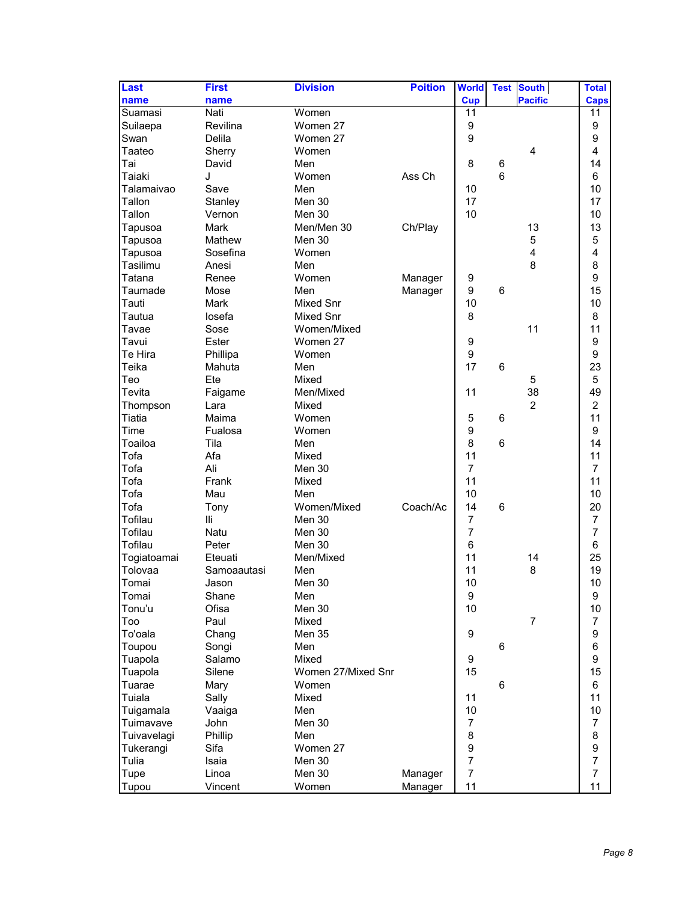| Last        | <b>First</b> | <b>Division</b>    | <b>Poition</b> | <b>World</b>     | <b>Test</b>    | <b>South</b>   | <b>Total</b>     |
|-------------|--------------|--------------------|----------------|------------------|----------------|----------------|------------------|
| name        | name         |                    |                | <b>Cup</b>       |                | <b>Pacific</b> | <b>Caps</b>      |
| Suamasi     | Nati         | Women              |                | 11               |                |                | 11               |
| Suilaepa    | Revilina     | Women 27           |                | 9                |                |                | 9                |
| Swan        | Delila       | Women 27           |                | 9                |                |                | 9                |
| Taateo      | Sherry       | Women              |                |                  |                | $\overline{4}$ | 4                |
| Tai         | David        | Men                |                | 8                | 6              |                | 14               |
| Taiaki      | J            | Women              | Ass Ch         |                  | $6\phantom{1}$ |                | 6                |
| Talamaivao  | Save         | Men                |                | 10               |                |                | 10               |
| Tallon      | Stanley      | Men 30             |                | 17               |                |                | 17               |
| Tallon      | Vernon       | Men 30             |                | 10               |                |                | 10               |
|             | Mark         |                    | Ch/Play        |                  |                | 13             | 13               |
| Tapusoa     |              | Men/Men 30         |                |                  |                |                |                  |
| Tapusoa     | Mathew       | Men 30             |                |                  |                | 5              | 5                |
| Tapusoa     | Sosefina     | Women              |                |                  |                | 4              | 4                |
| Tasilimu    | Anesi        | Men                |                |                  |                | 8              | 8                |
| Tatana      | Renee        | Women              | Manager        | 9                |                |                | 9                |
| Taumade     | Mose         | Men                | Manager        | 9                | 6              |                | 15               |
| Tauti       | Mark         | Mixed Snr          |                | 10               |                |                | 10               |
| Tautua      | losefa       | Mixed Snr          |                | 8                |                |                | 8                |
| Tavae       | Sose         | Women/Mixed        |                |                  |                | 11             | 11               |
| Tavui       | Ester        | Women 27           |                | 9                |                |                | 9                |
| Te Hira     | Phillipa     | Women              |                | 9                |                |                | 9                |
| Teika       | Mahuta       | Men                |                | 17               | 6              |                | 23               |
| Teo         | Ete          | Mixed              |                |                  |                | 5              | 5                |
| Tevita      | Faigame      | Men/Mixed          |                | 11               |                | 38             | 49               |
| Thompson    | Lara         | Mixed              |                |                  |                | $\overline{2}$ | $\overline{c}$   |
| Tiatia      | Maima        | Women              |                | 5                | 6              |                | 11               |
| Time        | Fualosa      | Women              |                | 9                |                |                | 9                |
| Toailoa     | Tila         | Men                |                | 8                | 6              |                | 14               |
| Tofa        | Afa          | Mixed              |                | 11               |                |                | 11               |
| Tofa        | Ali          | Men 30             |                | $\overline{7}$   |                |                | $\overline{7}$   |
| Tofa        | Frank        | Mixed              |                | 11               |                |                | 11               |
| Tofa        | Mau          | Men                |                | 10               |                |                | 10               |
| Tofa        | Tony         | Women/Mixed        | Coach/Ac       | 14               | $\,6$          |                | 20               |
| Tofilau     | lli          | Men 30             |                | 7                |                |                | 7                |
| Tofilau     | <b>Natu</b>  | Men 30             |                | $\overline{7}$   |                |                | $\overline{7}$   |
| Tofilau     | Peter        | Men 30             |                | 6                |                |                | 6                |
| Togiatoamai | Eteuati      | Men/Mixed          |                | 11               |                | 14             | 25               |
| Tolovaa     | Samoaautasi  | Men                |                | 11               |                | 8              | 19               |
| Tomai       | Jason        | Men 30             |                | 10               |                |                | 10               |
| Tomai       | Shane        | Men                |                | $\boldsymbol{9}$ |                |                | 9                |
| Tonu'u      | Ofisa        | Men 30             |                | 10               |                |                | 10               |
| Too         | Paul         | Mixed              |                |                  |                | $\overline{7}$ | $\overline{7}$   |
|             |              | Men 35             |                | 9                |                |                | 9                |
| To'oala     | Chang        |                    |                |                  |                |                | 6                |
| Toupou      | Songi        | Men                |                |                  | 6              |                |                  |
| Tuapola     | Salamo       | Mixed              |                | 9                |                |                | 9                |
| Tuapola     | Silene       | Women 27/Mixed Snr |                | 15               |                |                | 15               |
| Tuarae      | Mary         | Women              |                |                  | $\,6$          |                | 6                |
| Tuiala      | Sally        | Mixed              |                | 11               |                |                | 11               |
| Tuigamala   | Vaaiga       | Men                |                | 10               |                |                | 10               |
| Tuimavave   | John         | Men 30             |                | $\overline{7}$   |                |                | $\overline{7}$   |
| Tuivavelagi | Phillip      | Men                |                | 8                |                |                | 8                |
| Tukerangi   | Sifa         | Women 27           |                | $\boldsymbol{9}$ |                |                | 9                |
| Tulia       | Isaia        | Men 30             |                | $\overline{7}$   |                |                | $\boldsymbol{7}$ |
| Tupe        | Linoa        | Men 30             | Manager        | $\overline{7}$   |                |                | $\overline{7}$   |
| Tupou       | Vincent      | Women              | Manager        | 11               |                |                | 11               |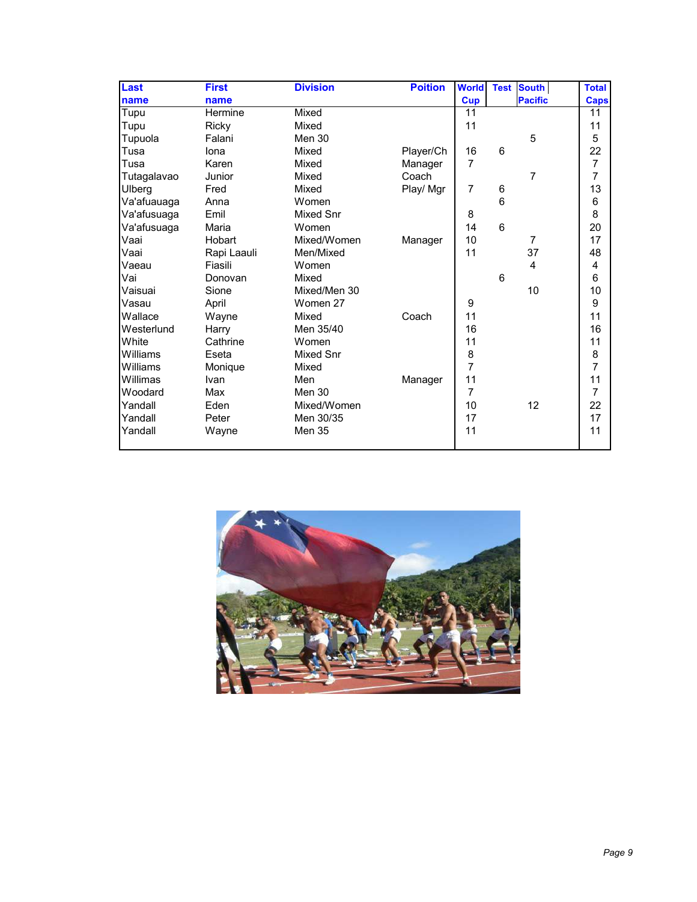| <b>Last</b> | <b>First</b> | <b>Division</b> | <b>Poition</b> | <b>World</b>   |                | <b>Test South</b> | <b>Total</b>   |
|-------------|--------------|-----------------|----------------|----------------|----------------|-------------------|----------------|
| name        | name         |                 |                | <b>Cup</b>     |                | <b>Pacific</b>    | <b>Caps</b>    |
| Tupu        | Hermine      | Mixed           |                | 11             |                |                   | 11             |
| Tupu        | Ricky        | Mixed           |                | 11             |                |                   | 11             |
| Tupuola     | Falani       | Men 30          |                |                |                | 5                 | 5              |
| Tusa        | lona         | Mixed           | Player/Ch      | 16             | 6              |                   | 22             |
| Tusa        | Karen        | Mixed           | Manager        | 7              |                |                   | $\overline{7}$ |
| Tutagalavao | Junior       | Mixed           | Coach          |                |                | $\overline{7}$    | $\overline{7}$ |
| Ulberg      | Fred         | Mixed           | Play/ Mgr      | 7              | 6              |                   | 13             |
| Va'afuauaga | Anna         | Women           |                |                | 6              |                   | $\,6$          |
| Va'afusuaga | Emil         | Mixed Snr       |                | 8              |                |                   | 8              |
| Va'afusuaga | Maria        | Women           |                | 14             | $6\phantom{1}$ |                   | 20             |
| Vaai        | Hobart       | Mixed/Women     | Manager        | 10             |                | $\overline{7}$    | 17             |
| Vaai        | Rapi Laauli  | Men/Mixed       |                | 11             |                | 37                | 48             |
| Vaeau       | Fiasili      | Women           |                |                |                | 4                 | 4              |
| Vai         | Donovan      | Mixed           |                |                | 6              |                   | $6\phantom{1}$ |
| Vaisuai     | Sione        | Mixed/Men 30    |                |                |                | 10                | 10             |
| Vasau       | April        | Women 27        |                | 9              |                |                   | 9              |
| Wallace     | Wayne        | Mixed           | Coach          | 11             |                |                   | 11             |
| Westerlund  | Harry        | Men 35/40       |                | 16             |                |                   | 16             |
| White       | Cathrine     | Women           |                | 11             |                |                   | 11             |
| Williams    | Eseta        | Mixed Snr       |                | 8              |                |                   | 8              |
| Williams    | Monique      | Mixed           |                | $\overline{7}$ |                |                   | $\overline{7}$ |
| Willimas    | Ivan         | Men             | Manager        | 11             |                |                   | 11             |
| Woodard     | Max          | Men 30          |                | $\overline{7}$ |                |                   | $\overline{7}$ |
| Yandall     | Eden         | Mixed/Women     |                | 10             |                | 12                | 22             |
| Yandall     | Peter        | Men 30/35       |                | 17             |                |                   | 17             |
| Yandall     | Wayne        | <b>Men 35</b>   |                | 11             |                |                   | 11             |

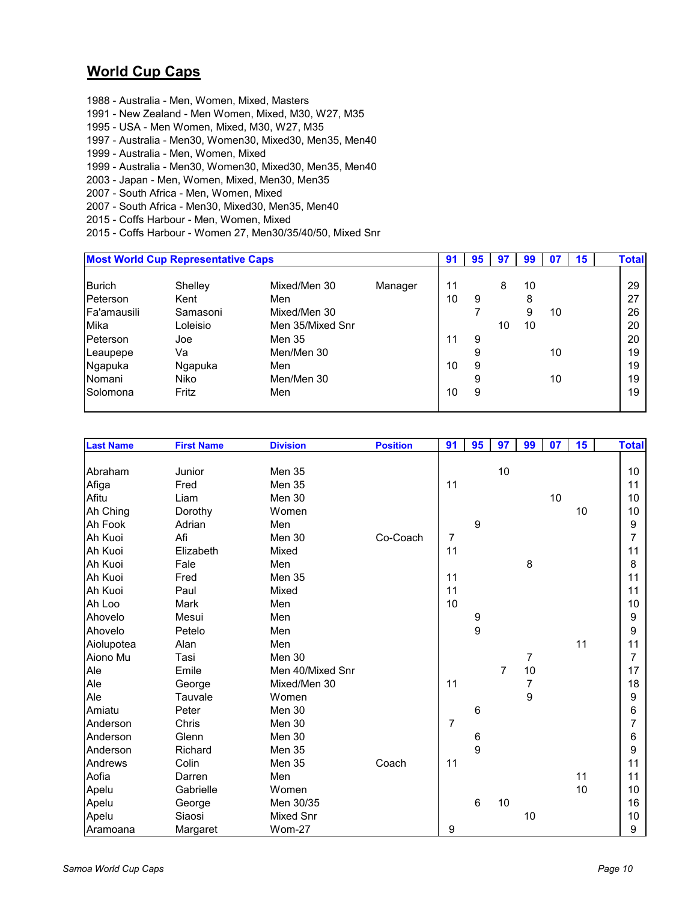### **World Cup Caps**

- 1988 Australia Men, Women, Mixed, Masters
- 1991 New Zealand Men Women, Mixed, M30, W27, M35
- 1995 USA Men Women, Mixed, M30, W27, M35
- 1997 Australia Men30, Women30, Mixed30, Men35, Men40
- 1999 Australia Men, Women, Mixed
- 1999 Australia Men30, Women30, Mixed30, Men35, Men40
- 2003 Japan Men, Women, Mixed, Men30, Men35
- 2007 South Africa Men, Women, Mixed
- 2007 South Africa Men30, Mixed30, Men35, Men40
- 2015 Coffs Harbour Men, Women, Mixed
- 2015 Coffs Harbour Women 27, Men30/35/40/50, Mixed Snr

|                                          | <b>Most World Cup Representative Caps</b> |                                     |         | 91       | 95          | 97 | 99           |          | 15 | <b>Total</b>   |
|------------------------------------------|-------------------------------------------|-------------------------------------|---------|----------|-------------|----|--------------|----------|----|----------------|
| <b>Burich</b><br>Peterson<br>Fa'amausili | Shelley<br>Kent<br>Samasoni               | Mixed/Men 30<br>Men<br>Mixed/Men 30 | Manager | 11<br>10 | 9           | 8  | 10<br>8<br>9 | 10       |    | 29<br>27<br>26 |
| Mika<br>Peterson                         | Loleisio<br>Joe                           | Men 35/Mixed Snr<br>Men 35          |         | 11       | 9           | 10 | 10           |          |    | 20<br>20       |
| Leaupepe<br>Ngapuka<br>Nomani            | Va<br>Ngapuka<br>Niko                     | Men/Men 30<br>Men<br>Men/Men 30     |         | 10       | 9<br>9<br>9 |    |              | 10<br>10 |    | 19<br>19<br>19 |
| Solomona                                 | Fritz                                     | Men                                 |         | 10       | 9           |    |              |          |    | 19             |

| <b>Last Name</b> | <b>First Name</b> | <b>Division</b>  | <b>Position</b> | 91             | 95              | 97 | 99 | 07 | 15 | <b>Total</b> |
|------------------|-------------------|------------------|-----------------|----------------|-----------------|----|----|----|----|--------------|
|                  |                   |                  |                 |                |                 |    |    |    |    |              |
| Abraham          | Junior            | <b>Men 35</b>    |                 |                |                 | 10 |    |    |    | 10           |
| Afiga            | Fred              | <b>Men 35</b>    |                 | 11             |                 |    |    |    |    | 11           |
| Afitu            | Liam              | Men 30           |                 |                |                 |    |    | 10 |    | 10           |
| Ah Ching         | Dorothy           | Women            |                 |                |                 |    |    |    | 10 | 10           |
| Ah Fook          | Adrian            | Men              |                 |                | 9               |    |    |    |    | 9            |
| Ah Kuoi          | Afi               | Men 30           | Co-Coach        | $\overline{7}$ |                 |    |    |    |    | 7            |
| Ah Kuoi          | Elizabeth         | Mixed            |                 | 11             |                 |    |    |    |    | 11           |
| Ah Kuoi          | Fale              | Men              |                 |                |                 |    | 8  |    |    | 8            |
| Ah Kuoi          | Fred              | <b>Men 35</b>    |                 | 11             |                 |    |    |    |    | 11           |
| Ah Kuoi          | Paul              | Mixed            |                 | 11             |                 |    |    |    |    | 11           |
| Ah Loo           | Mark              | Men              |                 | 10             |                 |    |    |    |    | 10           |
| Ahovelo          | Mesui             | Men              |                 |                | 9               |    |    |    |    | 9            |
| Ahovelo          | Petelo            | Men              |                 |                | 9               |    |    |    |    | 9            |
| Aiolupotea       | Alan              | Men              |                 |                |                 |    |    |    | 11 | 11           |
| Aiono Mu         | Tasi              | Men 30           |                 |                |                 |    | 7  |    |    | 7            |
| Ale              | Emile             | Men 40/Mixed Snr |                 |                |                 | 7  | 10 |    |    | 17           |
| Ale              | George            | Mixed/Men 30     |                 | 11             |                 |    | 7  |    |    | 18           |
| Ale              | Tauvale           | Women            |                 |                |                 |    | 9  |    |    | 9            |
| Amiatu           | Peter             | Men 30           |                 |                | $6\phantom{1}6$ |    |    |    |    | 6            |
| Anderson         | Chris             | Men 30           |                 | 7              |                 |    |    |    |    | 7            |
| Anderson         | Glenn             | Men 30           |                 |                | $\,6$           |    |    |    |    | 6            |
| Anderson         | Richard           | Men 35           |                 |                | $\overline{9}$  |    |    |    |    | 9            |
| Andrews          | Colin             | <b>Men 35</b>    | Coach           | 11             |                 |    |    |    |    | 11           |
| Aofia            | Darren            | Men              |                 |                |                 |    |    |    | 11 | 11           |
| Apelu            | Gabrielle         | Women            |                 |                |                 |    |    |    | 10 | 10           |
| Apelu            | George            | Men 30/35        |                 |                | 6               | 10 |    |    |    | 16           |
| Apelu            | Siaosi            | <b>Mixed Snr</b> |                 |                |                 |    | 10 |    |    | 10           |
| Aramoana         | Margaret          | Wom-27           |                 | 9              |                 |    |    |    |    | 9            |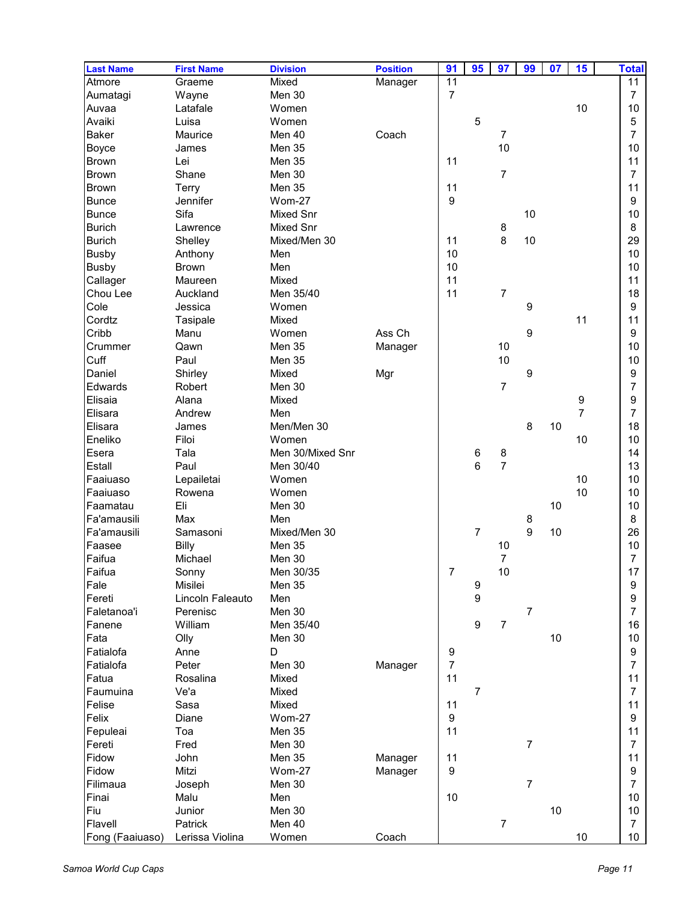| <b>Last Name</b> | <b>First Name</b>       | <b>Division</b>  | <b>Position</b> | 91               | 95               | 97               | 99             | 07 | 15             | <b>Total</b>   |
|------------------|-------------------------|------------------|-----------------|------------------|------------------|------------------|----------------|----|----------------|----------------|
| Atmore           | Graeme                  | Mixed            | Manager         | 11               |                  |                  |                |    |                | 11             |
| Aumatagi         | Wayne                   | Men 30           |                 | $\overline{7}$   |                  |                  |                |    |                | $\overline{7}$ |
| Auvaa            | Latafale                | Women            |                 |                  |                  |                  |                |    | 10             | 10             |
| Avaiki           | Luisa                   | Women            |                 |                  | 5                |                  |                |    |                | 5              |
| Baker            | Maurice                 | Men 40           | Coach           |                  |                  | $\overline{7}$   |                |    |                | $\overline{7}$ |
| Boyce            | James                   | Men 35           |                 |                  |                  | 10               |                |    |                | 10             |
| <b>Brown</b>     | Lei                     | Men 35           |                 | 11               |                  |                  |                |    |                | 11             |
| <b>Brown</b>     | Shane                   | Men 30           |                 |                  |                  | $\overline{7}$   |                |    |                | $\overline{7}$ |
| <b>Brown</b>     | Terry                   | Men 35           |                 | 11               |                  |                  |                |    |                | 11             |
| Bunce            | Jennifer                | Wom-27           |                 | 9                |                  |                  |                |    |                | 9              |
| <b>Bunce</b>     | Sifa                    | Mixed Snr        |                 |                  |                  |                  | 10             |    |                | 10             |
| <b>Burich</b>    | Lawrence                | Mixed Snr        |                 |                  |                  | 8                |                |    |                | 8              |
| <b>Burich</b>    | Shelley                 | Mixed/Men 30     |                 | 11               |                  | 8                | 10             |    |                | 29             |
| <b>Busby</b>     | Anthony                 | Men              |                 | 10               |                  |                  |                |    |                | 10             |
|                  |                         | Men              |                 | 10               |                  |                  |                |    |                | 10             |
| <b>Busby</b>     | <b>Brown</b><br>Maureen | Mixed            |                 | 11               |                  |                  |                |    |                | 11             |
| Callager         |                         |                  |                 | 11               |                  | $\overline{7}$   |                |    |                |                |
| Chou Lee         | Auckland                | Men 35/40        |                 |                  |                  |                  |                |    |                | 18             |
| Cole             | Jessica                 | Women            |                 |                  |                  |                  | 9              |    |                | 9              |
| Cordtz           | Tasipale                | Mixed            |                 |                  |                  |                  |                |    | 11             | 11             |
| Cribb            | Manu                    | Women            | Ass Ch          |                  |                  |                  | 9              |    |                | 9              |
| Crummer          | Qawn                    | Men 35           | Manager         |                  |                  | 10               |                |    |                | 10             |
| Cuff             | Paul                    | Men 35           |                 |                  |                  | 10               |                |    |                | 10             |
| Daniel           | Shirley                 | Mixed            | Mgr             |                  |                  |                  | 9              |    |                | 9              |
| Edwards          | Robert                  | Men 30           |                 |                  |                  | $\overline{7}$   |                |    |                | 7              |
| Elisaia          | Alana                   | Mixed            |                 |                  |                  |                  |                |    | 9              | 9              |
| Elisara          | Andrew                  | Men              |                 |                  |                  |                  |                |    | $\overline{7}$ | 7              |
| Elisara          | James                   | Men/Men 30       |                 |                  |                  |                  | 8              | 10 |                | 18             |
| Eneliko          | Filoi                   | Women            |                 |                  |                  |                  |                |    | 10             | 10             |
| Esera            | Tala                    | Men 30/Mixed Snr |                 |                  | 6                | 8                |                |    |                | 14             |
| Estall           | Paul                    | Men 30/40        |                 |                  | 6                | $\overline{7}$   |                |    |                | 13             |
| Faaiuaso         | Lepailetai              | Women            |                 |                  |                  |                  |                |    | 10             | 10             |
| Faaiuaso         | Rowena                  | Women            |                 |                  |                  |                  |                |    | 10             | 10             |
| Faamatau         | Eli                     | Men 30           |                 |                  |                  |                  |                | 10 |                | 10             |
| Fa'amausili      | Max                     | Men              |                 |                  |                  |                  | 8              |    |                | 8              |
| Fa'amausili      | Samasoni                | Mixed/Men 30     |                 |                  | $\overline{7}$   |                  | 9              | 10 |                | 26             |
| Faasee           | <b>Billy</b>            | Men 35           |                 |                  |                  | 10               |                |    |                | 10             |
| Faifua           | Michael                 | Men 30           |                 |                  |                  | $\overline{7}$   |                |    |                | $\overline{7}$ |
| Faifua           | Sonny                   | Men 30/35        |                 | 7                |                  | $10$             |                |    |                | 17             |
| Fale             | Misilei                 | Men 35           |                 |                  | 9                |                  |                |    |                | 9              |
| Fereti           | Lincoln Faleauto        | Men              |                 |                  | 9                |                  |                |    |                | 9              |
| Faletanoa'i      | Perenisc                | Men 30           |                 |                  |                  |                  | $\overline{7}$ |    |                | 7              |
| Fanene           | William                 | Men 35/40        |                 |                  | $\boldsymbol{9}$ | $\overline{7}$   |                |    |                | 16             |
| Fata             | Olly                    | Men 30           |                 |                  |                  |                  |                | 10 |                | 10             |
| Fatialofa        | Anne                    | D                |                 | 9                |                  |                  |                |    |                | 9              |
| Fatialofa        | Peter                   | Men 30           | Manager         | $\overline{7}$   |                  |                  |                |    |                | 7              |
| Fatua            | Rosalina                | Mixed            |                 | 11               |                  |                  |                |    |                | 11             |
| Faumuina         | Ve'a                    | Mixed            |                 |                  | $\overline{7}$   |                  |                |    |                | $\overline{7}$ |
| Felise           | Sasa                    | Mixed            |                 | 11               |                  |                  |                |    |                | 11             |
| Felix            |                         | Wom-27           |                 | $\boldsymbol{9}$ |                  |                  |                |    |                |                |
|                  | Diane                   |                  |                 |                  |                  |                  |                |    |                | 9              |
| Fepuleai         | Toa                     | Men 35           |                 | 11               |                  |                  |                |    |                | 11             |
| Fereti           | Fred                    | Men 30           |                 |                  |                  |                  | $\overline{7}$ |    |                | $\overline{7}$ |
| Fidow            | John                    | Men 35           | Manager         | 11               |                  |                  |                |    |                | 11             |
| Fidow            | Mitzi                   | <b>Wom-27</b>    | Manager         | 9                |                  |                  |                |    |                | 9              |
| Filimaua         | Joseph                  | Men 30           |                 |                  |                  |                  | $\overline{7}$ |    |                | $\overline{7}$ |
| Finai            | Malu                    | Men              |                 | 10               |                  |                  |                |    |                | 10             |
| Fiu              | Junior                  | Men 30           |                 |                  |                  |                  |                | 10 |                | 10             |
| Flavell          | Patrick                 | Men 40           |                 |                  |                  | $\boldsymbol{7}$ |                |    |                | $\overline{7}$ |
| Fong (Faaiuaso)  | Lerissa Violina         | Women            | Coach           |                  |                  |                  |                |    | $10$           | 10             |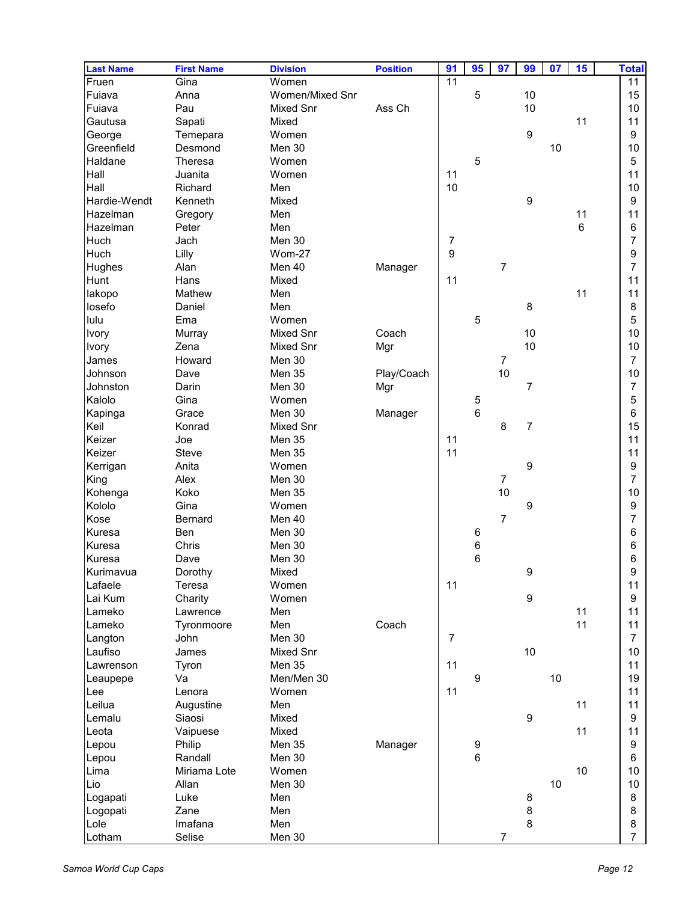| <b>Last Name</b> | <b>First Name</b> | <b>Division</b> | <b>Position</b> | 91             | 95               | 97               | 99             | 07 | 15 | <b>Total</b>   |
|------------------|-------------------|-----------------|-----------------|----------------|------------------|------------------|----------------|----|----|----------------|
| Fruen            | Gina              | Women           |                 | 11             |                  |                  |                |    |    | 11             |
| Fuiava           | Anna              | Women/Mixed Snr |                 |                | 5                |                  | 10             |    |    | 15             |
| Fuiava           | Pau               | Mixed Snr       | Ass Ch          |                |                  |                  | 10             |    |    | 10             |
| Gautusa          | Sapati            | Mixed           |                 |                |                  |                  |                |    | 11 | 11             |
| George           | Temepara          | Women           |                 |                |                  |                  | 9              |    |    | 9              |
| Greenfield       | Desmond           | Men 30          |                 |                |                  |                  |                | 10 |    | 10             |
| Haldane          | Theresa           | Women           |                 |                | 5                |                  |                |    |    | 5              |
| Hall             | Juanita           | Women           |                 | 11             |                  |                  |                |    |    | 11             |
| Hall             | Richard           | Men             |                 | 10             |                  |                  |                |    |    | 10             |
| Hardie-Wendt     | Kenneth           | Mixed           |                 |                |                  |                  | 9              |    |    | 9              |
| Hazelman         | Gregory           | Men             |                 |                |                  |                  |                |    | 11 | 11             |
| Hazelman         | Peter             | Men             |                 |                |                  |                  |                |    | 6  | 6              |
| Huch             | Jach              | Men 30          |                 | 7              |                  |                  |                |    |    | 7              |
| Huch             | Lilly             | <b>Wom-27</b>   |                 | 9              |                  |                  |                |    |    | 9              |
| Hughes           | Alan              | Men 40          | Manager         |                |                  | $\overline{7}$   |                |    |    | 7              |
| Hunt             | Hans              | Mixed           |                 | 11             |                  |                  |                |    |    | 11             |
| lakopo           | Mathew            | Men             |                 |                |                  |                  |                |    | 11 | 11             |
| losefo           | Daniel            | Men             |                 |                |                  |                  | 8              |    |    | 8              |
| lulu             | Ema               | Women           |                 |                | 5                |                  |                |    |    | 5              |
| <b>Ivory</b>     | Murray            | Mixed Snr       | Coach           |                |                  |                  | 10             |    |    | 10             |
| Ivory            | Zena              | Mixed Snr       | Mgr             |                |                  |                  | $10$           |    |    | 10             |
| James            | Howard            | Men 30          |                 |                |                  | $\boldsymbol{7}$ |                |    |    | $\overline{7}$ |
| Johnson          | Dave              | Men 35          | Play/Coach      |                |                  | 10               |                |    |    | 10             |
| Johnston         | Darin             | Men 30          | Mgr             |                |                  |                  | 7              |    |    | 7              |
| Kalolo           | Gina              | Women           |                 |                | 5                |                  |                |    |    | 5              |
| Kapinga          | Grace             | Men 30          | Manager         |                | $6\phantom{1}6$  |                  |                |    |    | 6              |
| Keil             | Konrad            | Mixed Snr       |                 |                |                  | 8                | $\overline{7}$ |    |    | 15             |
| Keizer           | Joe               | Men 35          |                 | 11             |                  |                  |                |    |    | 11             |
| Keizer           | Steve             | Men 35          |                 | 11             |                  |                  |                |    |    | 11             |
| Kerrigan         | Anita             | Women           |                 |                |                  |                  | 9              |    |    | 9              |
| King             | Alex              | Men 30          |                 |                |                  | $\overline{7}$   |                |    |    | 7              |
| Kohenga          | Koko              | <b>Men 35</b>   |                 |                |                  | 10               |                |    |    | 10             |
| Kololo           | Gina              | Women           |                 |                |                  |                  | 9              |    |    | 9              |
| Kose             | <b>Bernard</b>    | Men 40          |                 |                |                  | $\overline{7}$   |                |    |    | 7              |
| Kuresa           | Ben               | Men 30          |                 |                | $\,6$            |                  |                |    |    | 6              |
| Kuresa           | Chris             | Men 30          |                 |                | $\boldsymbol{6}$ |                  |                |    |    | 6              |
| Kuresa           | Dave              | Men 30          |                 |                | $6\phantom{a}$   |                  |                |    |    | 6              |
| Kurimavua        | Dorothy           | Mixed           |                 |                |                  |                  | 9              |    |    | 9              |
| Lafaele          | Teresa            | Women           |                 | 11             |                  |                  |                |    |    | 11             |
| Lai Kum          | Charity           | Women           |                 |                |                  |                  | 9              |    |    | 9              |
| Lameko           | Lawrence          | Men             |                 |                |                  |                  |                |    | 11 | 11             |
| Lameko           | Tyronmoore        | Men             | Coach           |                |                  |                  |                |    | 11 | 11             |
| Langton          | John              | Men 30          |                 | $\overline{7}$ |                  |                  |                |    |    | $\overline{7}$ |
| Laufiso          | James             | Mixed Snr       |                 |                |                  |                  | 10             |    |    | 10             |
| Lawrenson        | Tyron             | <b>Men 35</b>   |                 | 11             |                  |                  |                |    |    | 11             |
| Leaupepe         | Va                | Men/Men 30      |                 |                | 9                |                  |                | 10 |    | 19             |
| Lee              | Lenora            | Women           |                 | 11             |                  |                  |                |    |    | 11             |
| Leilua           | Augustine         | Men             |                 |                |                  |                  |                |    | 11 | 11             |
| Lemalu           | Siaosi            | Mixed           |                 |                |                  |                  | 9              |    |    | 9              |
| Leota            | Vaipuese          | Mixed           |                 |                |                  |                  |                |    | 11 | 11             |
| Lepou            | Philip            | Men 35          | Manager         |                | 9                |                  |                |    |    | 9              |
| Lepou            | Randall           | Men 30          |                 |                | $\,6\,$          |                  |                |    |    | 6              |
| Lima             | Miriama Lote      | Women           |                 |                |                  |                  |                |    | 10 | 10             |
| Lio              | Allan             | Men 30          |                 |                |                  |                  |                | 10 |    | 10             |
| Logapati         | Luke              | Men             |                 |                |                  |                  | 8              |    |    | 8              |
| Logopati         | Zane              | Men             |                 |                |                  |                  | 8              |    |    | 8              |
| Lole             | Imafana           | Men             |                 |                |                  |                  | 8              |    |    | 8              |
| Lotham           | Selise            | Men 30          |                 |                |                  | $\overline{7}$   |                |    |    | $\overline{7}$ |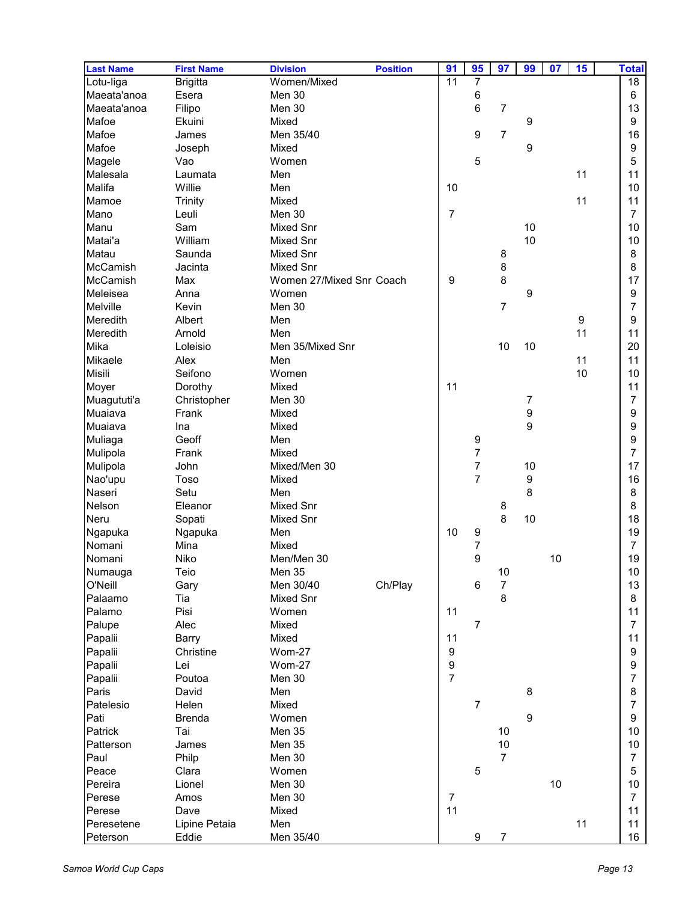| <b>Last Name</b> | <b>First Name</b> | <b>Division</b>          | <b>Position</b> | 91             | 95               | 97               | 99               | 07 | 15 | <b>Total</b>   |
|------------------|-------------------|--------------------------|-----------------|----------------|------------------|------------------|------------------|----|----|----------------|
| Lotu-liga        | <b>Brigitta</b>   | Women/Mixed              |                 | 11             | $\overline{7}$   |                  |                  |    |    | 18             |
| Maeata'anoa      | Esera             | Men 30                   |                 |                | 6                |                  |                  |    |    | 6              |
| Maeata'anoa      | Filipo            | Men 30                   |                 |                | 6                | $\overline{7}$   |                  |    |    | 13             |
| Mafoe            | Ekuini            | Mixed                    |                 |                |                  |                  | 9                |    |    | 9              |
| Mafoe            | James             | Men 35/40                |                 |                | 9                | $\overline{7}$   |                  |    |    | 16             |
| Mafoe            | Joseph            | Mixed                    |                 |                |                  |                  | 9                |    |    | 9              |
| Magele           | Vao               | Women                    |                 |                | 5                |                  |                  |    |    | 5              |
| Malesala         | Laumata           | Men                      |                 |                |                  |                  |                  |    | 11 | 11             |
| Malifa           | Willie            | Men                      |                 | 10             |                  |                  |                  |    |    | 10             |
| Mamoe            | <b>Trinity</b>    | Mixed                    |                 |                |                  |                  |                  |    | 11 | 11             |
| Mano             | Leuli             | Men 30                   |                 | $\overline{7}$ |                  |                  |                  |    |    | $\overline{7}$ |
| Manu             | Sam               | Mixed Snr                |                 |                |                  |                  | 10               |    |    | 10             |
| Matai'a          | William           | <b>Mixed Snr</b>         |                 |                |                  |                  | 10               |    |    | 10             |
| Matau            | Saunda            | Mixed Snr                |                 |                |                  | 8                |                  |    |    | 8              |
| McCamish         | Jacinta           | Mixed Snr                |                 |                |                  | 8                |                  |    |    | 8              |
| McCamish         | Max               | Women 27/Mixed Snr Coach |                 | 9              |                  | 8                |                  |    |    | 17             |
| Meleisea         | Anna              | Women                    |                 |                |                  |                  | 9                |    |    | 9              |
| Melville         | Kevin             | Men 30                   |                 |                |                  | $\overline{7}$   |                  |    |    | 7              |
| Meredith         | Albert            | Men                      |                 |                |                  |                  |                  |    | 9  | 9              |
| Meredith         | Arnold            | Men                      |                 |                |                  |                  |                  |    | 11 | 11             |
| Mika             | Loleisio          | Men 35/Mixed Snr         |                 |                |                  | 10               | 10               |    |    | 20             |
| Mikaele          | Alex              | Men                      |                 |                |                  |                  |                  |    | 11 | 11             |
| Misili           | Seifono           | Women                    |                 |                |                  |                  |                  |    | 10 | 10             |
| Moyer            | Dorothy           | Mixed                    |                 | 11             |                  |                  |                  |    |    | 11             |
|                  |                   |                          |                 |                |                  |                  |                  |    |    | 7              |
| Muagututi'a      | Christopher       | Men 30                   |                 |                |                  |                  | 7                |    |    |                |
| Muaiava          | Frank             | Mixed                    |                 |                |                  |                  | 9                |    |    | 9              |
| Muaiava          | Ina               | Mixed                    |                 |                |                  |                  | 9                |    |    | 9              |
| Muliaga          | Geoff             | Men                      |                 |                | 9                |                  |                  |    |    | 9              |
| Mulipola         | Frank             | Mixed                    |                 |                | $\overline{7}$   |                  |                  |    |    | 7              |
| Mulipola         | John              | Mixed/Men 30             |                 |                | $\overline{7}$   |                  | 10               |    |    | 17             |
| Nao'upu          | Toso              | Mixed                    |                 |                | $\overline{7}$   |                  | $\boldsymbol{9}$ |    |    | 16             |
| Naseri           | Setu              | Men                      |                 |                |                  |                  | 8                |    |    | 8              |
| Nelson           | Eleanor           | Mixed Snr                |                 |                |                  | 8                |                  |    |    | 8              |
| Neru             | Sopati            | <b>Mixed Snr</b>         |                 |                |                  | 8                | 10               |    |    | 18             |
| Ngapuka          | Ngapuka           | Men                      |                 | 10             | 9                |                  |                  |    |    | 19             |
| Nomani           | Mina              | Mixed                    |                 |                | $\boldsymbol{7}$ |                  |                  |    |    | $\overline{7}$ |
| Nomani           | Niko              | Men/Men 30               |                 |                | 9                |                  |                  | 10 |    | 19             |
| Numauga          | Teio              | <b>Men 35</b>            |                 |                |                  | $10$             |                  |    |    | $10\,$         |
| O'Neill          | Gary              | Men 30/40                | Ch/Play         |                | 6                | $\boldsymbol{7}$ |                  |    |    | 13             |
| Palaamo          | Tia               | Mixed Snr                |                 |                |                  | 8                |                  |    |    | 8              |
| Palamo           | Pisi              | Women                    |                 | 11             |                  |                  |                  |    |    | 11             |
| Palupe           | Alec              | Mixed                    |                 |                | $\overline{7}$   |                  |                  |    |    | $\overline{7}$ |
| Papalii          | Barry             | Mixed                    |                 | 11             |                  |                  |                  |    |    | 11             |
| Papalii          | Christine         | <b>Wom-27</b>            |                 | 9              |                  |                  |                  |    |    | 9              |
| Papalii          | Lei               | Wom-27                   |                 | 9              |                  |                  |                  |    |    | 9              |
| Papalii          | Poutoa            | Men 30                   |                 | $\overline{7}$ |                  |                  |                  |    |    | 7              |
| Paris            | David             | Men                      |                 |                |                  |                  | 8                |    |    | 8              |
| Patelesio        | Helen             | Mixed                    |                 |                | $\overline{7}$   |                  |                  |    |    | 7              |
| Pati             | <b>Brenda</b>     | Women                    |                 |                |                  |                  | 9                |    |    | 9              |
| Patrick          | Tai               |                          |                 |                |                  | 10               |                  |    |    |                |
| Patterson        |                   | Men 35                   |                 |                |                  | 10               |                  |    |    | 10             |
|                  | James             | Men 35                   |                 |                |                  |                  |                  |    |    | 10             |
| Paul             | Philp             | Men 30                   |                 |                |                  | $\overline{7}$   |                  |    |    | $\overline{7}$ |
| Peace            | Clara             | Women                    |                 |                | $\mathbf 5$      |                  |                  |    |    | 5              |
| Pereira          | Lionel            | Men 30                   |                 |                |                  |                  |                  | 10 |    | 10             |
| Perese           | Amos              | Men 30                   |                 | $\overline{7}$ |                  |                  |                  |    |    | $\overline{7}$ |
| Perese           | Dave              | Mixed                    |                 | 11             |                  |                  |                  |    |    | 11             |
| Peresetene       | Lipine Petaia     | Men                      |                 |                |                  |                  |                  |    | 11 | 11             |
| Peterson         | Eddie             | Men 35/40                |                 |                | $\boldsymbol{9}$ | $\boldsymbol{7}$ |                  |    |    | 16             |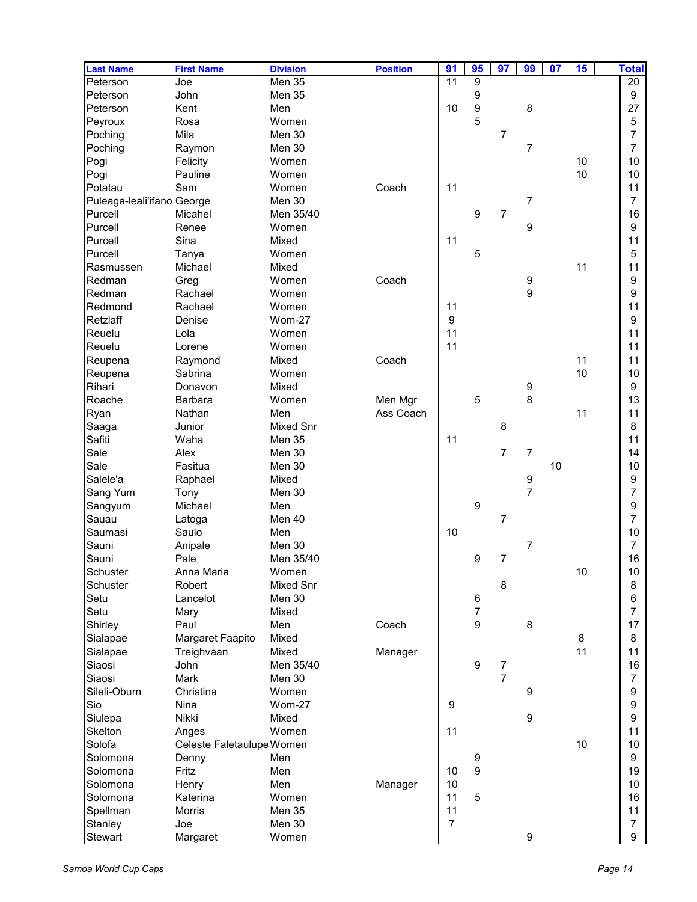| <b>Last Name</b>           | <b>First Name</b>         | <b>Division</b>  | <b>Position</b> | 91               | 95                       | 97               | 99               | 07 | 15   | <b>Total</b>   |
|----------------------------|---------------------------|------------------|-----------------|------------------|--------------------------|------------------|------------------|----|------|----------------|
| Peterson                   | Joe                       | Men 35           |                 | 11               | $\overline{9}$           |                  |                  |    |      | 20             |
| Peterson                   | John                      | Men 35           |                 |                  | 9                        |                  |                  |    |      | 9              |
| Peterson                   | Kent                      | Men              |                 | 10               | $\boldsymbol{9}$         |                  | 8                |    |      | 27             |
| Peyroux                    | Rosa                      | Women            |                 |                  | 5                        |                  |                  |    |      | 5              |
| Poching                    | Mila                      | Men 30           |                 |                  |                          | $\overline{7}$   |                  |    |      | 7              |
| Poching                    | Raymon                    | Men 30           |                 |                  |                          |                  | 7                |    |      | 7              |
| Pogi                       | Felicity                  | Women            |                 |                  |                          |                  |                  |    | 10   | 10             |
| Pogi                       | Pauline                   | Women            |                 |                  |                          |                  |                  |    | 10   | 10             |
| Potatau                    | Sam                       | Women            | Coach           | 11               |                          |                  |                  |    |      | 11             |
| Puleaga-leali'ifano George |                           | Men 30           |                 |                  |                          |                  | $\overline{7}$   |    |      | $\overline{7}$ |
| Purcell                    | Micahel                   | Men 35/40        |                 |                  | 9                        | 7                |                  |    |      | 16             |
| Purcell                    | Renee                     | Women            |                 |                  |                          |                  | 9                |    |      | 9              |
| Purcell                    | Sina                      | Mixed            |                 | 11               |                          |                  |                  |    |      | 11             |
| Purcell                    | Tanya                     | Women            |                 |                  | 5                        |                  |                  |    |      | 5              |
| Rasmussen                  | Michael                   | Mixed            |                 |                  |                          |                  |                  |    | 11   | 11             |
| Redman                     | Greg                      | Women            | Coach           |                  |                          |                  | 9                |    |      | 9              |
| Redman                     | Rachael                   | Women            |                 |                  |                          |                  | 9                |    |      | 9              |
| Redmond                    | Rachael                   | Women            |                 | 11               |                          |                  |                  |    |      | 11             |
| Retzlaff                   | Denise                    | <b>Wom-27</b>    |                 | $\boldsymbol{9}$ |                          |                  |                  |    |      | 9              |
| Reuelu                     | Lola                      | Women            |                 | 11               |                          |                  |                  |    |      | 11             |
| Reuelu                     | Lorene                    | Women            |                 | 11               |                          |                  |                  |    |      | 11             |
| Reupena                    | Raymond                   | Mixed            | Coach           |                  |                          |                  |                  |    | 11   | 11             |
| Reupena                    | Sabrina                   | Women            |                 |                  |                          |                  |                  |    | 10   | 10             |
| Rihari                     | Donavon                   | Mixed            |                 |                  |                          |                  | 9                |    |      | 9              |
| Roache                     | <b>Barbara</b>            | Women            | Men Mgr         |                  | 5                        |                  | 8                |    |      | 13             |
| Ryan                       | Nathan                    | Men              | Ass Coach       |                  |                          |                  |                  |    | 11   | 11             |
| Saaga                      | Junior                    | <b>Mixed Snr</b> |                 |                  |                          | 8                |                  |    |      | 8              |
| Safiti                     | Waha                      | Men 35           |                 | 11               |                          |                  |                  |    |      | 11             |
| Sale                       | Alex                      | Men 30           |                 |                  |                          | $\overline{7}$   | 7                |    |      | 14             |
| Sale                       | Fasitua                   | Men 30           |                 |                  |                          |                  |                  | 10 |      | 10             |
| Salele'a                   | Raphael                   | Mixed            |                 |                  |                          |                  | 9                |    |      | 9              |
| Sang Yum                   | Tony                      | Men 30           |                 |                  |                          |                  | $\overline{7}$   |    |      | 7              |
| Sangyum                    | Michael                   | Men              |                 |                  | $\boldsymbol{9}$         |                  |                  |    |      | 9              |
| Sauau                      | Latoga                    | Men 40           |                 |                  |                          | $\overline{7}$   |                  |    |      | 7              |
| Saumasi                    | Saulo                     | Men              |                 | 10               |                          |                  |                  |    |      | 10             |
| Sauni                      | Anipale                   | Men 30           |                 |                  |                          |                  | 7                |    |      | 7              |
| Sauni                      | Pale                      | Men 35/40        |                 |                  | 9                        | $\overline{7}$   |                  |    |      | 16             |
| Schuster                   | Anna Maria                | Women            |                 |                  |                          |                  |                  |    | 10   | $10$           |
| Schuster                   | Robert                    | <b>Mixed Snr</b> |                 |                  |                          | 8                |                  |    |      | 8              |
| Setu                       | Lancelot                  | Men 30           |                 |                  | 6                        |                  |                  |    |      | 6              |
| Setu                       | Mary                      | Mixed            |                 |                  | $\overline{\mathcal{I}}$ |                  |                  |    |      | 7              |
| Shirley                    | Paul                      | Men              | Coach           |                  | $\boldsymbol{9}$         |                  | 8                |    |      | 17             |
| Sialapae                   | Margaret Faapito          | Mixed            |                 |                  |                          |                  |                  |    | 8    | 8              |
| Sialapae                   | Treighvaan                | Mixed            | Manager         |                  |                          |                  |                  |    | 11   | 11             |
| Siaosi                     | John                      | Men 35/40        |                 |                  | $\boldsymbol{9}$         | $\boldsymbol{7}$ |                  |    |      | 16             |
| Siaosi                     | Mark                      | Men 30           |                 |                  |                          | $\overline{7}$   |                  |    |      | 7              |
| Sileli-Oburn               | Christina                 | Women            |                 |                  |                          |                  | 9                |    |      | 9              |
| Sio                        | Nina                      | <b>Wom-27</b>    |                 | 9                |                          |                  |                  |    |      | 9              |
| Siulepa                    | Nikki                     | Mixed            |                 |                  |                          |                  | $\boldsymbol{9}$ |    |      | 9              |
| Skelton                    | Anges                     | Women            |                 | 11               |                          |                  |                  |    |      | 11             |
| Solofa                     | Celeste Faletaulupe Women |                  |                 |                  |                          |                  |                  |    | $10$ | 10             |
| Solomona                   | Denny                     | Men              |                 |                  | 9                        |                  |                  |    |      | 9              |
| Solomona                   | Fritz                     | Men              |                 | 10               | $\boldsymbol{9}$         |                  |                  |    |      | 19             |
| Solomona                   | Henry                     | Men              | Manager         | 10               |                          |                  |                  |    |      | 10             |
| Solomona                   | Katerina                  | Women            |                 | 11               | 5                        |                  |                  |    |      | 16             |
| Spellman                   | Morris                    | Men 35           |                 | 11               |                          |                  |                  |    |      | 11             |
| Stanley                    | Joe                       | Men 30           |                 | $\overline{7}$   |                          |                  |                  |    |      | 7              |
| Stewart                    | Margaret                  | Women            |                 |                  |                          |                  | $\boldsymbol{9}$ |    |      | 9              |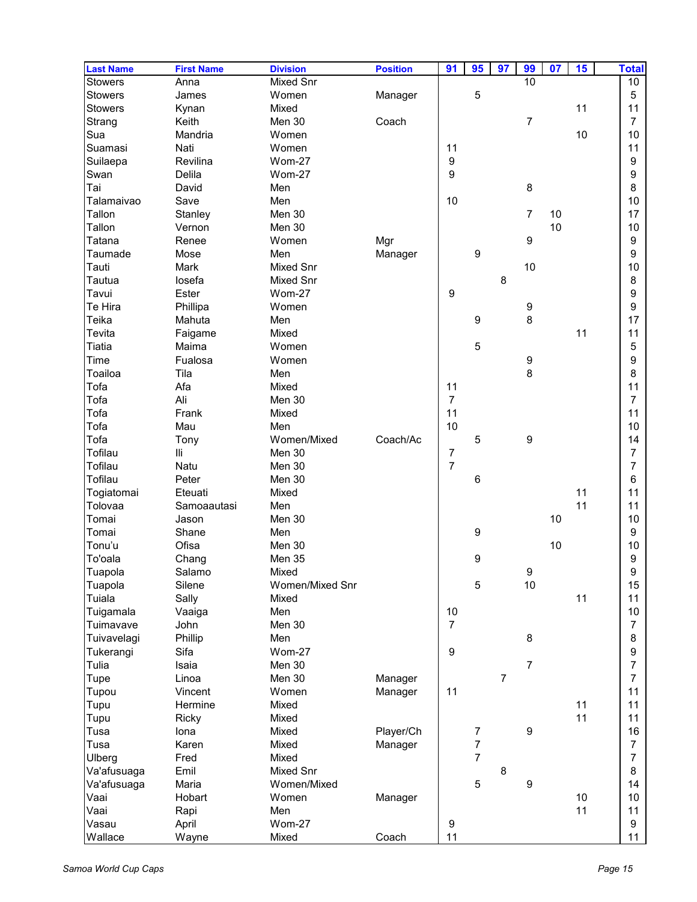| <b>Last Name</b> | <b>First Name</b> | <b>Division</b> | <b>Position</b> | 91               | 95               | 97             | 99               | 07 | 15 | <b>Total</b>   |
|------------------|-------------------|-----------------|-----------------|------------------|------------------|----------------|------------------|----|----|----------------|
| <b>Stowers</b>   | Anna              | Mixed Snr       |                 |                  |                  |                | 10               |    |    | 10             |
| <b>Stowers</b>   | James             | Women           | Manager         |                  | 5                |                |                  |    |    | 5              |
| Stowers          | Kynan             | Mixed           |                 |                  |                  |                |                  |    | 11 | 11             |
| Strang           | Keith             | Men 30          | Coach           |                  |                  |                | $\overline{7}$   |    |    | $\overline{7}$ |
| Sua              | Mandria           | Women           |                 |                  |                  |                |                  |    | 10 | 10             |
| Suamasi          | Nati              | Women           |                 | 11               |                  |                |                  |    |    | 11             |
| Suilaepa         | Revilina          | <b>Wom-27</b>   |                 | 9                |                  |                |                  |    |    | 9              |
| Swan             | Delila            | Wom-27          |                 | 9                |                  |                |                  |    |    | 9              |
| Tai              | David             | Men             |                 |                  |                  |                | 8                |    |    | 8              |
| Talamaivao       | Save              | Men             |                 | 10               |                  |                |                  |    |    | 10             |
| Tallon           | Stanley           | Men 30          |                 |                  |                  |                | $\overline{7}$   | 10 |    | 17             |
| Tallon           | Vernon            | Men 30          |                 |                  |                  |                |                  | 10 |    | 10             |
|                  |                   |                 |                 |                  |                  |                | 9                |    |    |                |
| Tatana           | Renee             | Women           | Mgr             |                  |                  |                |                  |    |    | 9              |
| Taumade          | Mose              | Men             | Manager         |                  | $\boldsymbol{9}$ |                |                  |    |    | 9              |
| Tauti            | Mark              | Mixed Snr       |                 |                  |                  |                | 10               |    |    | 10             |
| Tautua           | losefa            | Mixed Snr       |                 |                  |                  | 8              |                  |    |    | 8              |
| Tavui            | Ester             | Wom-27          |                 | 9                |                  |                |                  |    |    | 9              |
| Te Hira          | Phillipa          | Women           |                 |                  |                  |                | 9                |    |    | 9              |
| Teika            | Mahuta            | Men             |                 |                  | $\boldsymbol{9}$ |                | 8                |    |    | 17             |
| Tevita           | Faigame           | Mixed           |                 |                  |                  |                |                  |    | 11 | 11             |
| Tiatia           | Maima             | Women           |                 |                  | 5                |                |                  |    |    | 5              |
| Time             | Fualosa           | Women           |                 |                  |                  |                | 9                |    |    | 9              |
| Toailoa          | Tila              | Men             |                 |                  |                  |                | 8                |    |    | 8              |
| Tofa             | Afa               | Mixed           |                 | 11               |                  |                |                  |    |    | 11             |
| Tofa             | Ali               | Men 30          |                 | $\overline{7}$   |                  |                |                  |    |    | $\overline{7}$ |
| Tofa             | Frank             | Mixed           |                 | 11               |                  |                |                  |    |    | 11             |
| Tofa             | Mau               | Men             |                 | 10               |                  |                |                  |    |    | 10             |
| Tofa             | Tony              | Women/Mixed     | Coach/Ac        |                  | 5                |                | 9                |    |    | 14             |
| Tofilau          | Шi                | Men 30          |                 | $\boldsymbol{7}$ |                  |                |                  |    |    | 7              |
| Tofilau          | Natu              | Men 30          |                 | $\overline{7}$   |                  |                |                  |    |    | 7              |
| Tofilau          | Peter             | Men 30          |                 |                  | $\,6$            |                |                  |    |    | 6              |
| Togiatomai       | Eteuati           | Mixed           |                 |                  |                  |                |                  |    | 11 | 11             |
| Tolovaa          | Samoaautasi       | Men             |                 |                  |                  |                |                  |    | 11 | 11             |
| Tomai            | Jason             | Men 30          |                 |                  |                  |                |                  | 10 |    | 10             |
| Tomai            | Shane             | Men             |                 |                  | $\boldsymbol{9}$ |                |                  |    |    | 9              |
| Tonu'u           | Ofisa             | Men 30          |                 |                  |                  |                |                  | 10 |    | 10             |
| To'oala          | Chang             | Men 35          |                 |                  | 9                |                |                  |    |    | 9              |
|                  | Salamo            |                 |                 |                  |                  |                |                  |    |    | 9              |
| Tuapola          |                   | Mixed           |                 |                  |                  |                | 9                |    |    |                |
| Tuapola          | Silene            | Women/Mixed Snr |                 |                  | 5                |                | 10               |    |    | 15             |
| Tuiala           | Sally             | Mixed           |                 |                  |                  |                |                  |    | 11 | 11             |
| Tuigamala        | Vaaiga            | Men             |                 | 10               |                  |                |                  |    |    | 10             |
| Tuimavave        | John              | Men 30          |                 | $\overline{7}$   |                  |                |                  |    |    | $\overline{7}$ |
| Tuivavelagi      | Phillip           | Men             |                 |                  |                  |                | 8                |    |    | 8              |
| Tukerangi        | Sifa              | <b>Wom-27</b>   |                 | 9                |                  |                |                  |    |    | 9              |
| Tulia            | Isaia             | Men 30          |                 |                  |                  |                | $\overline{7}$   |    |    | 7              |
| Tupe             | Linoa             | Men 30          | Manager         |                  |                  | $\overline{7}$ |                  |    |    | 7              |
| Tupou            | Vincent           | Women           | Manager         | 11               |                  |                |                  |    |    | 11             |
| Tupu             | Hermine           | Mixed           |                 |                  |                  |                |                  |    | 11 | 11             |
| Tupu             | Ricky             | Mixed           |                 |                  |                  |                |                  |    | 11 | 11             |
| Tusa             | lona              | Mixed           | Player/Ch       |                  | 7                |                | $\boldsymbol{9}$ |    |    | 16             |
| Tusa             | Karen             | Mixed           | Manager         |                  | $\overline{7}$   |                |                  |    |    | $\overline{7}$ |
| Ulberg           | Fred              | Mixed           |                 |                  | $\overline{7}$   |                |                  |    |    | $\overline{7}$ |
| Va'afusuaga      | Emil              | Mixed Snr       |                 |                  |                  | 8              |                  |    |    | 8              |
| Va'afusuaga      | Maria             | Women/Mixed     |                 |                  | 5                |                | $\boldsymbol{9}$ |    |    | 14             |
| Vaai             | Hobart            | Women           | Manager         |                  |                  |                |                  |    | 10 | 10             |
| Vaai             | Rapi              | Men             |                 |                  |                  |                |                  |    | 11 | 11             |
| Vasau            | April             | <b>Wom-27</b>   |                 | $\boldsymbol{9}$ |                  |                |                  |    |    | 9              |
| Wallace          | Wayne             | Mixed           | Coach           | 11               |                  |                |                  |    |    | 11             |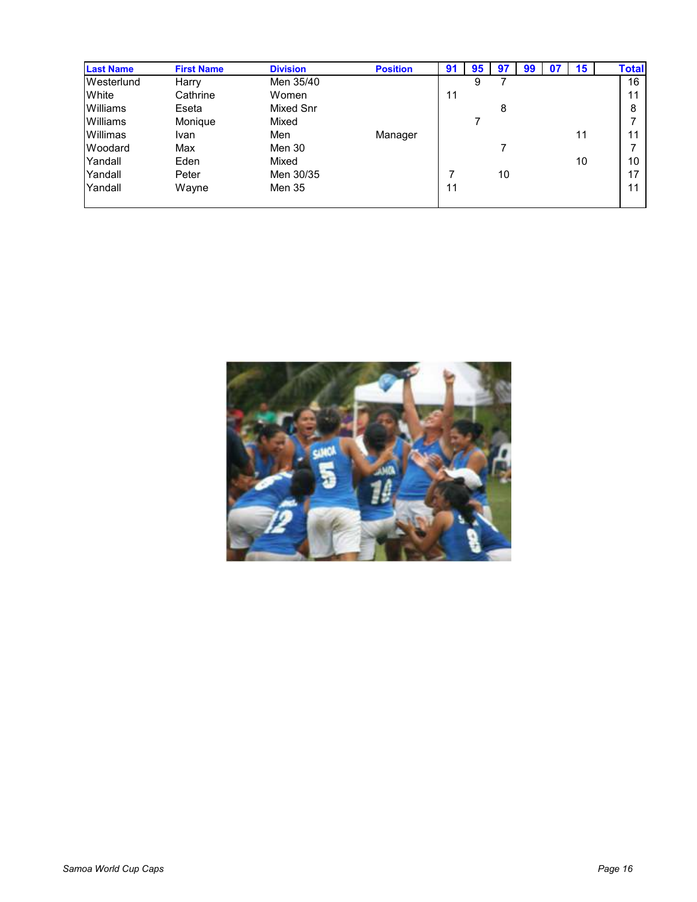| <b>Last Name</b> | <b>First Name</b> | <b>Division</b> | <b>Position</b> | 91 | 95 | 97 | -99 | 07 | 15 | <b>Total</b> |    |
|------------------|-------------------|-----------------|-----------------|----|----|----|-----|----|----|--------------|----|
| Westerlund       | Harry             | Men 35/40       |                 |    | 9  |    |     |    |    |              | 16 |
| White            | Cathrine          | Women           |                 | 11 |    |    |     |    |    |              | 11 |
| Williams         | Eseta             | Mixed Snr       |                 |    |    | 8  |     |    |    |              | 8  |
| Williams         | Monique           | Mixed           |                 |    |    |    |     |    |    |              |    |
| Willimas         | Ivan.             | Men             | Manager         |    |    |    |     |    | 11 |              | 11 |
| Woodard          | Max               | Men 30          |                 |    |    |    |     |    |    |              |    |
| Yandall          | Eden              | Mixed           |                 |    |    |    |     |    | 10 |              | 10 |
| Yandall          | Peter             | Men 30/35       |                 |    |    | 10 |     |    |    |              | 17 |
| Yandall          | Wayne             | Men 35          |                 | 11 |    |    |     |    |    |              | 11 |
|                  |                   |                 |                 |    |    |    |     |    |    |              |    |

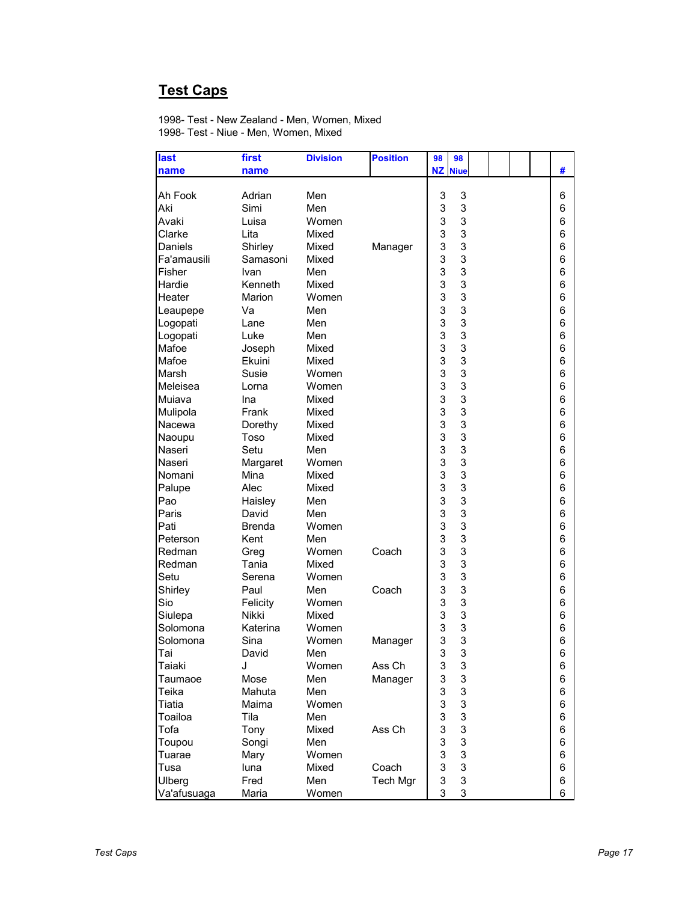# **Test Caps**

1998- Test - New Zealand - Men, Women, Mixed 1998- Test - Niue - Men, Women, Mixed

| last        | first            | <b>Division</b> | <b>Position</b> | 98             | 98                        |  |  |   |
|-------------|------------------|-----------------|-----------------|----------------|---------------------------|--|--|---|
| name        | name             |                 |                 | <b>NZ</b> Niue |                           |  |  | # |
|             |                  |                 |                 |                |                           |  |  |   |
| Ah Fook     | Adrian           | Men             |                 | 3              | 3                         |  |  | 6 |
| Aki         | Simi             | Men             |                 | 3              | 3                         |  |  | 6 |
| Avaki       | Luisa            | Women           |                 | 3              | 3                         |  |  | 6 |
| Clarke      | Lita             | Mixed           |                 | 3              | 3                         |  |  | 6 |
| Daniels     | Shirley          | Mixed           | Manager         | 3              | 3                         |  |  | 6 |
| Fa'amausili | Samasoni         | Mixed           |                 | 3              | 3                         |  |  | 6 |
| Fisher      | Ivan             | Men             |                 | 3              | 3                         |  |  | 6 |
| Hardie      | Kenneth          | Mixed           |                 | 3              | 3                         |  |  | 6 |
| Heater      | Marion           | Women           |                 | 3              | 3                         |  |  | 6 |
| Leaupepe    | Va               | Men             |                 | 3              | 3                         |  |  | 6 |
| Logopati    | Lane             | Men             |                 | 3              | 3                         |  |  | 6 |
| Logopati    | Luke             | Men             |                 | 3              | 3                         |  |  | 6 |
| Mafoe       | Joseph           | Mixed           |                 | 3              | 3                         |  |  | 6 |
| Mafoe       | Ekuini           | Mixed           |                 | 3              | 3                         |  |  | 6 |
| Marsh       | Susie            | Women           |                 | 3              | 3                         |  |  | 6 |
| Meleisea    | Lorna            | Women           |                 | 3              | 3                         |  |  | 6 |
| Muiava      | Ina              | Mixed           |                 | 3              | 3                         |  |  | 6 |
| Mulipola    | Frank            | Mixed           |                 | 3              | 3                         |  |  | 6 |
| Nacewa      | Dorethy          | Mixed           |                 | 3              | 3                         |  |  | 6 |
| Naoupu      | Toso             | Mixed           |                 | 3              | 3                         |  |  | 6 |
| Naseri      | Setu             | Men             |                 | 3              | 3                         |  |  | 6 |
| Naseri      | Margaret         | Women           |                 | 3              | 3                         |  |  | 6 |
| Nomani      | Mina             | Mixed           |                 | 3              | 3                         |  |  | 6 |
| Palupe      | Alec             | Mixed           |                 | 3              | 3                         |  |  | 6 |
| Pao         |                  | Men             |                 | 3              | 3                         |  |  | 6 |
| Paris       | Haisley<br>David |                 |                 | 3              | 3                         |  |  | 6 |
|             |                  | Men             |                 | 3              | 3                         |  |  |   |
| Pati        | <b>Brenda</b>    | Women           |                 |                |                           |  |  | 6 |
| Peterson    | Kent             | Men             |                 | 3              | 3                         |  |  | 6 |
| Redman      | Greg             | Women           | Coach           | 3              | 3                         |  |  | 6 |
| Redman      | Tania            | Mixed           |                 | 3              | 3                         |  |  | 6 |
| Setu        | Serena           | Women           |                 | 3              | 3                         |  |  | 6 |
| Shirley     | Paul             | Men             | Coach           | 3              | 3                         |  |  | 6 |
| Sio         | Felicity         | Women           |                 | 3              | 3                         |  |  | 6 |
| Siulepa     | <b>Nikki</b>     | Mixed           |                 | 3              | 3                         |  |  | 6 |
| Solomona    | Katerina         | Women           |                 | 3              | 3                         |  |  | 6 |
| Solomona    | Sina             | Women           | Manager         | 3              | 3                         |  |  | 6 |
| Tai         | David            | Men             |                 | 3              | 3                         |  |  | 6 |
| Taiaki      | J                | Women           | Ass Ch          | 3              | 3                         |  |  | 6 |
| Taumaoe     | Mose             | Men             | Manager         | 3              | 3                         |  |  | 6 |
| Teika       | Mahuta           | Men             |                 | 3              | 3                         |  |  | 6 |
| Tiatia      | Maima            | Women           |                 | 3              | 3                         |  |  | 6 |
| Toailoa     | Tila             | Men             |                 | 3              | 3                         |  |  | 6 |
| Tofa        | Tony             | Mixed           | Ass Ch          | 3              | 3                         |  |  | 6 |
| Toupou      | Songi            | Men             |                 | 3              | $\ensuremath{\mathsf{3}}$ |  |  | 6 |
| Tuarae      | Mary             | Women           |                 | 3              | 3                         |  |  | 6 |
| Tusa        | luna             | Mixed           | Coach           | 3              | 3                         |  |  | 6 |
| Ulberg      | Fred             | Men             | Tech Mgr        | 3              | 3                         |  |  | 6 |
| Va'afusuaga | Maria            | Women           |                 | 3              | 3                         |  |  | 6 |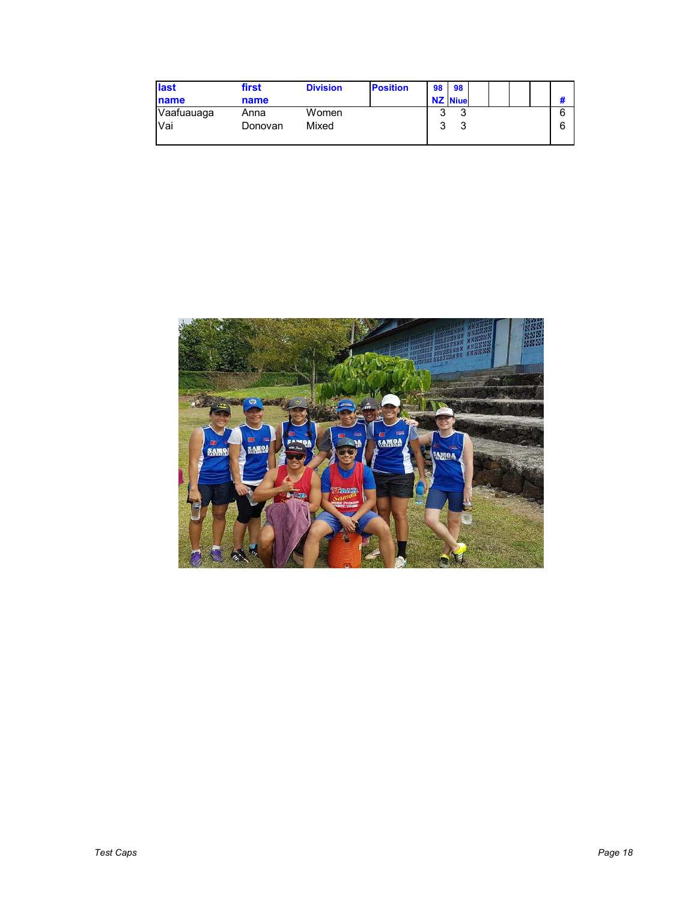| last        | first   | <b>Division</b> | <b>Position</b> | 98 | <b>98</b>      |  |  |  |
|-------------|---------|-----------------|-----------------|----|----------------|--|--|--|
| <b>name</b> | name    |                 |                 |    | <b>NZ</b> Niue |  |  |  |
| Vaafuauaga  | Anna    | Women           |                 | ີ  | ີ              |  |  |  |
| Vai         | Donovan | Mixed           |                 | ঽ  |                |  |  |  |
|             |         |                 |                 |    |                |  |  |  |

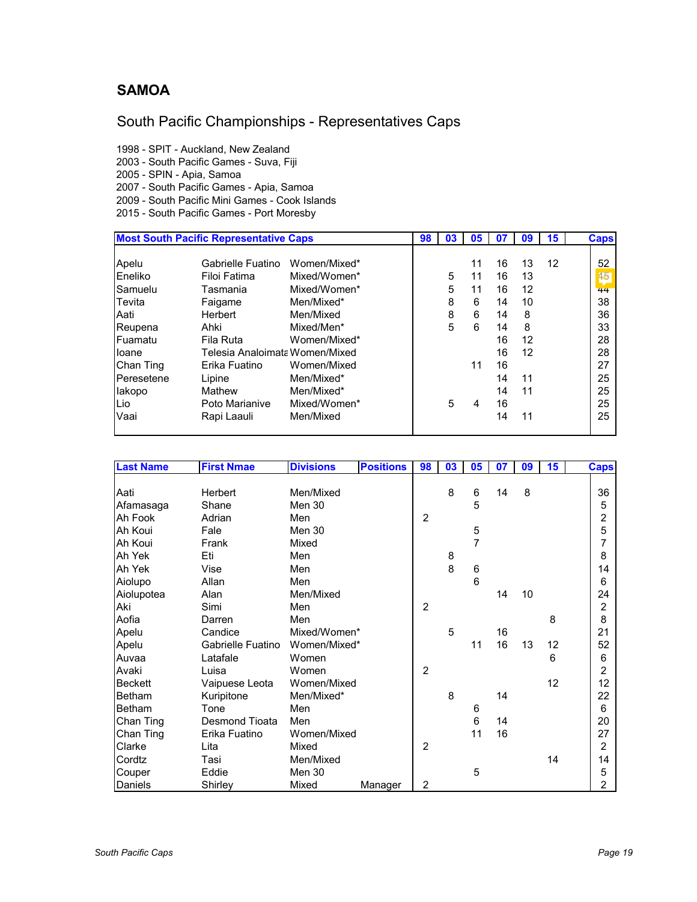#### **SAMOA**

## South Pacific Championships - Representatives Caps

1998 - SPIT - Auckland, New Zealand

2003 - South Pacific Games - Suva, Fiji

2005 - SPIN - Apia, Samoa

2007 - South Pacific Games - Apia, Samoa

2009 - South Pacific Mini Games - Cook Islands

2015 - South Pacific Games - Port Moresby

|            | <b>Most South Pacific Representative Caps</b> |              | 98 | 03 | 05 | 07 | 09 | 15 | <b>Caps</b> |
|------------|-----------------------------------------------|--------------|----|----|----|----|----|----|-------------|
| Apelu      | Gabrielle Fuatino                             | Women/Mixed* |    |    | 11 | 16 | 13 | 12 | 52          |
| Eneliko    | Filoi Fatima                                  | Mixed/Women* |    | 5  | 11 | 16 | 13 |    | 45          |
| Samuelu    | Tasmania                                      | Mixed/Women* |    | 5  | 11 | 16 | 12 |    | 44          |
| Tevita     | Faigame                                       | Men/Mixed*   |    | 8  | 6  | 14 | 10 |    | 38          |
| Aati       | Herbert                                       | Men/Mixed    |    | 8  | 6  | 14 | 8  |    | 36          |
| Reupena    | Ahki                                          | Mixed/Men*   |    | 5  | 6  | 14 | 8  |    | 33          |
| Fuamatu    | Fila Ruta                                     | Women/Mixed* |    |    |    | 16 | 12 |    | 28          |
| loane      | Telesia Analoimata Women/Mixed                |              |    |    |    | 16 | 12 |    | 28          |
| Chan Ting  | Erika Fuatino                                 | Women/Mixed  |    |    | 11 | 16 |    |    | 27          |
| Peresetene | Lipine                                        | Men/Mixed*   |    |    |    | 14 | 11 |    | 25          |
| lakopo     | Mathew                                        | Men/Mixed*   |    |    |    | 14 | 11 |    | 25          |
| Lio        | Poto Marianive                                | Mixed/Women* |    | 5  | 4  | 16 |    |    | 25          |
| Vaai       | Rapi Laauli                                   | Men/Mixed    |    |    |    | 14 | 11 |    | 25          |
|            |                                               |              |    |    |    |    |    |    |             |

| <b>Last Name</b> | <b>First Nmae</b>     | <b>Divisions</b> | <b>Positions</b> | 98             | 03 | 05             | 07 | 09 | 15 | <b>Caps</b>    |
|------------------|-----------------------|------------------|------------------|----------------|----|----------------|----|----|----|----------------|
|                  |                       |                  |                  |                |    |                |    |    |    |                |
| Aati             | Herbert               | Men/Mixed        |                  |                | 8  | 6              | 14 | 8  |    | 36             |
| Afamasaga        | Shane                 | Men 30           |                  |                |    | 5              |    |    |    | 5              |
| Ah Fook          | Adrian                | Men              |                  | $\overline{2}$ |    |                |    |    |    | $\overline{c}$ |
| Ah Koui          | Fale                  | Men 30           |                  |                |    | 5              |    |    |    | $\sqrt{5}$     |
| Ah Koui          | Frank                 | Mixed            |                  |                |    | 7              |    |    |    | 7              |
| Ah Yek           | Eti                   | Men              |                  |                | 8  |                |    |    |    | 8              |
| Ah Yek           | Vise                  | Men              |                  |                | 8  | 6              |    |    |    | 14             |
| Aiolupo          | Allan                 | Men              |                  |                |    | 6              |    |    |    | 6              |
| Aiolupotea       | Alan                  | Men/Mixed        |                  |                |    |                | 14 | 10 |    | 24             |
| Aki              | Simi                  | Men              |                  | $\overline{2}$ |    |                |    |    |    | $\overline{c}$ |
| Aofia            | Darren                | Men              |                  |                |    |                |    |    | 8  | 8              |
| Apelu            | Candice               | Mixed/Women*     |                  |                | 5  |                | 16 |    |    | 21             |
| Apelu            | Gabrielle Fuatino     | Women/Mixed*     |                  |                |    | 11             | 16 | 13 | 12 | 52             |
| Auvaa            | Latafale              | Women            |                  |                |    |                |    |    | 6  | 6              |
| Avaki            | Luisa                 | Women            |                  | $\overline{2}$ |    |                |    |    |    | $\overline{2}$ |
| <b>Beckett</b>   | Vaipuese Leota        | Women/Mixed      |                  |                |    |                |    |    | 12 | 12             |
| <b>Betham</b>    | Kuripitone            | Men/Mixed*       |                  |                | 8  |                | 14 |    |    | 22             |
| <b>Betham</b>    | Tone                  | Men              |                  |                |    | 6              |    |    |    | 6              |
| Chan Ting        | <b>Desmond Tioata</b> | Men              |                  |                |    | $6\phantom{1}$ | 14 |    |    | 20             |
| Chan Ting        | Erika Fuatino         | Women/Mixed      |                  |                |    | 11             | 16 |    |    | 27             |
| Clarke           | Lita                  | Mixed            |                  | 2              |    |                |    |    |    | $\overline{2}$ |
| Cordtz           | Tasi                  | Men/Mixed        |                  |                |    |                |    |    | 14 | 14             |
| Couper           | Eddie                 | Men 30           |                  |                |    | 5              |    |    |    | 5              |
| Daniels          | Shirley               | Mixed            | Manager          | 2              |    |                |    |    |    | 2              |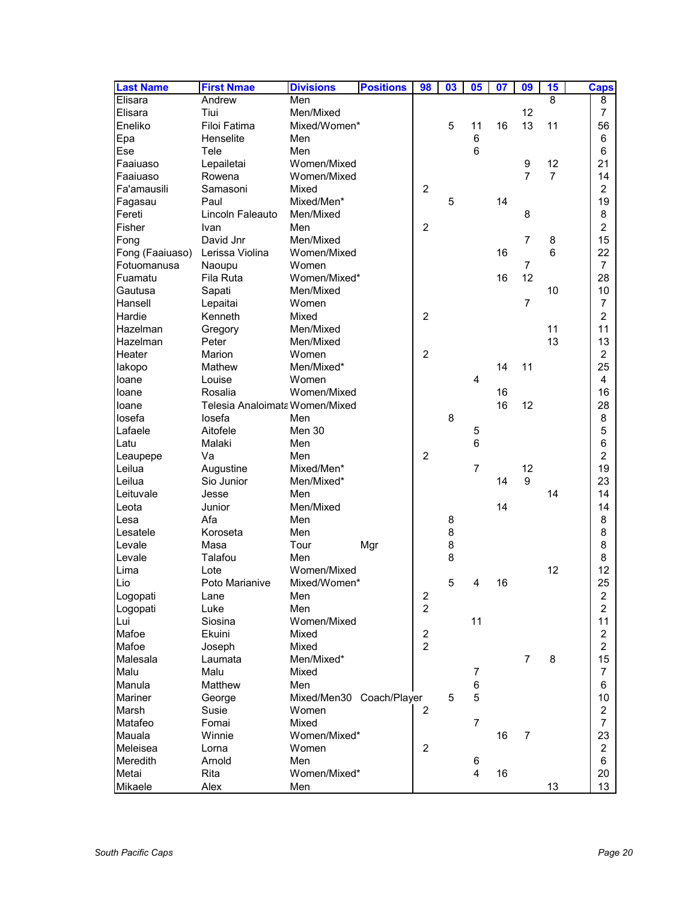| <b>Last Name</b> | <b>First Nmae</b>              | <b>Divisions</b>         | <b>Positions</b> | 98                      | 03 | 05             | 07 | 09             | 15             | Caps           |
|------------------|--------------------------------|--------------------------|------------------|-------------------------|----|----------------|----|----------------|----------------|----------------|
| Elisara          | Andrew                         | Men                      |                  |                         |    |                |    |                | 8              | 8              |
| Elisara          | Tiui                           | Men/Mixed                |                  |                         |    |                |    | 12             |                | 7              |
| Eneliko          | Filoi Fatima                   | Mixed/Women*             |                  |                         | 5  | 11             | 16 | 13             | 11             | 56             |
| Epa              | Henselite                      | Men                      |                  |                         |    | $\,6$          |    |                |                | 6              |
| Ese              | Tele                           | Men                      |                  |                         |    | 6              |    |                |                | 6              |
| Faaiuaso         | Lepailetai                     | Women/Mixed              |                  |                         |    |                |    | 9              | 12             | 21             |
| Faaiuaso         | Rowena                         | Women/Mixed              |                  |                         |    |                |    | 7              | $\overline{7}$ | 14             |
| Fa'amausili      | Samasoni                       | Mixed                    |                  | $\overline{2}$          |    |                |    |                |                | $\overline{c}$ |
| Fagasau          | Paul                           | Mixed/Men*               |                  |                         | 5  |                | 14 |                |                | 19             |
| Fereti           | Lincoln Faleauto               | Men/Mixed                |                  |                         |    |                |    | 8              |                | 8              |
| Fisher           | Ivan                           | Men                      |                  | $\overline{c}$          |    |                |    |                |                | $\overline{c}$ |
| Fong             | David Jnr                      | Men/Mixed                |                  |                         |    |                |    | 7              | 8              | 15             |
| Fong (Faaiuaso)  | Lerissa Violina                | Women/Mixed              |                  |                         |    |                | 16 |                | 6              | 22             |
| Fotuomanusa      | Naoupu                         | Women                    |                  |                         |    |                |    | $\overline{7}$ |                | $\overline{7}$ |
| Fuamatu          | Fila Ruta                      | Women/Mixed*             |                  |                         |    |                | 16 | 12             |                | 28             |
| Gautusa          | Sapati                         | Men/Mixed                |                  |                         |    |                |    |                | 10             | 10             |
| Hansell          | Lepaitai                       | Women                    |                  |                         |    |                |    | $\overline{7}$ |                | $\overline{7}$ |
| Hardie           | Kenneth                        | Mixed                    |                  | $\boldsymbol{2}$        |    |                |    |                |                | $\overline{c}$ |
| Hazelman         | Gregory                        | Men/Mixed                |                  |                         |    |                |    |                | 11             | 11             |
| Hazelman         | Peter                          | Men/Mixed                |                  |                         |    |                |    |                | 13             | 13             |
| Heater           | Marion                         | Women                    |                  | $\overline{c}$          |    |                |    |                |                | $\overline{c}$ |
| lakopo           | Mathew                         | Men/Mixed*               |                  |                         |    |                | 14 | 11             |                | 25             |
| loane            | Louise                         | Women                    |                  |                         |    | 4              |    |                |                | 4              |
| loane            | Rosalia                        | Women/Mixed              |                  |                         |    |                | 16 |                |                | 16             |
| loane            | Telesia Analoimata Women/Mixed |                          |                  |                         |    |                | 16 | 12             |                | 28             |
| losefa           | losefa                         | Men                      |                  |                         | 8  |                |    |                |                | 8              |
| Lafaele          | Aitofele                       | Men 30                   |                  |                         |    | 5              |    |                |                | 5              |
| Latu             | Malaki                         | Men                      |                  |                         |    | 6              |    |                |                | 6              |
| Leaupepe         | Va                             | Men                      |                  | $\overline{2}$          |    |                |    |                |                | $\overline{c}$ |
| Leilua           | Augustine                      | Mixed/Men*               |                  |                         |    | $\overline{7}$ |    | 12             |                | 19             |
| Leilua           | Sio Junior                     | Men/Mixed*               |                  |                         |    |                | 14 | 9              |                | 23             |
| Leituvale        | Jesse                          | Men                      |                  |                         |    |                |    |                | 14             | 14             |
| Leota            | Junior                         | Men/Mixed                |                  |                         |    |                | 14 |                |                | 14             |
| Lesa             | Afa                            | Men                      |                  |                         | 8  |                |    |                |                | 8              |
| Lesatele         | Koroseta                       | Men                      |                  |                         | 8  |                |    |                |                | 8              |
| Levale           | Masa                           | Tour                     | Mgr              |                         | 8  |                |    |                |                | 8              |
| Levale           | Talafou                        | Men                      |                  |                         | 8  |                |    |                |                | 8              |
| Lima             | Lote                           | Women/Mixed              |                  |                         |    |                |    |                | 12             | 12             |
| Lio              | Poto Marianive                 | Mixed/Women*             |                  |                         | 5  | 4              | 16 |                |                | 25             |
| Logopati         | Lane                           | Men                      |                  | $\overline{\mathbf{c}}$ |    |                |    |                |                | 2              |
| Logopati         | Luke                           | Men                      |                  | $\overline{c}$          |    |                |    |                |                | $\overline{a}$ |
| Lui              | Siosina                        | Women/Mixed              |                  |                         |    | 11             |    |                |                | 11             |
| Mafoe            | Ekuini                         | Mixed                    |                  | $\boldsymbol{2}$        |    |                |    |                |                | $\overline{2}$ |
| Mafoe            | Joseph                         | Mixed                    |                  | $\overline{2}$          |    |                |    |                |                | $\overline{2}$ |
| Malesala         | Laumata                        | Men/Mixed*               |                  |                         |    |                |    | $\overline{7}$ | 8              | 15             |
| Malu             | Malu                           | Mixed                    |                  |                         |    | 7              |    |                |                | $\overline{7}$ |
| Manula           | Matthew                        | Men                      |                  |                         |    | 6              |    |                |                | 6              |
| Mariner          | George                         | Mixed/Men30 Coach/Player |                  |                         | 5  | 5              |    |                |                | 10             |
| Marsh            | Susie                          | Women                    |                  | $\overline{c}$          |    |                |    |                |                | $\overline{2}$ |
| Matafeo          | Fomai                          | Mixed                    |                  |                         |    | $\overline{7}$ |    |                |                | $\overline{7}$ |
| Mauala           | Winnie                         | Women/Mixed*             |                  |                         |    |                | 16 | 7              |                | 23             |
| Meleisea         |                                | Women                    |                  | $\overline{2}$          |    |                |    |                |                | $\overline{c}$ |
| Meredith         | Lorna<br>Arnold                | Men                      |                  |                         |    | 6              |    |                |                | 6              |
| Metai            | Rita                           | Women/Mixed*             |                  |                         |    | $\overline{4}$ | 16 |                |                | 20             |
| Mikaele          | Alex                           |                          |                  |                         |    |                |    |                | 13             | 13             |
|                  |                                | Men                      |                  |                         |    |                |    |                |                |                |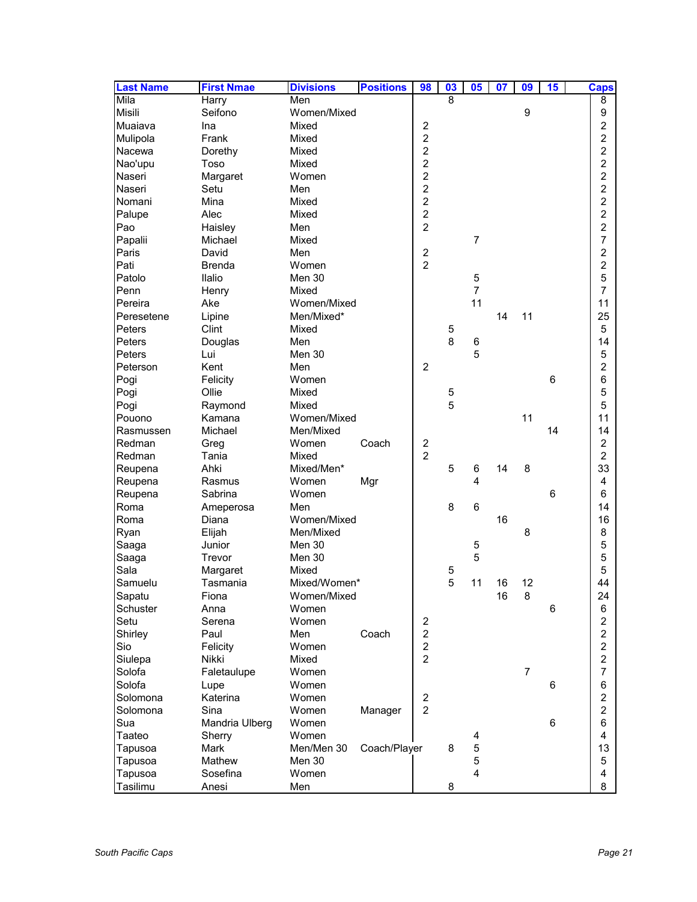| <b>Positions</b><br><b>Last Name</b><br><b>First Nmae</b><br><b>Divisions</b> | 98                      | $\overline{\mathbf{03}}$ | 05             | 07 | 09               | 15 | <b>Caps</b>         |
|-------------------------------------------------------------------------------|-------------------------|--------------------------|----------------|----|------------------|----|---------------------|
| Mila<br>Men<br>Harry                                                          |                         | 8                        |                |    |                  |    | 8                   |
| Seifono<br>Women/Mixed<br>Misili                                              |                         |                          |                |    | $\boldsymbol{9}$ |    | 9                   |
| Muaiava<br>Mixed<br>Ina                                                       | $\overline{\mathbf{c}}$ |                          |                |    |                  |    | 2                   |
| Frank<br>Mixed<br>Mulipola                                                    | $\overline{c}$          |                          |                |    |                  |    | $\overline{c}$      |
| Mixed<br>Nacewa<br>Dorethy                                                    | $\overline{c}$          |                          |                |    |                  |    | $\overline{c}$      |
| Nao'upu<br>Toso<br>Mixed                                                      | $\overline{c}$          |                          |                |    |                  |    | $\overline{c}$      |
| Women<br>Naseri<br>Margaret                                                   | $\overline{a}$          |                          |                |    |                  |    | $\overline{c}$      |
| Naseri<br>Setu<br>Men                                                         | $\overline{c}$          |                          |                |    |                  |    | $\overline{c}$      |
| Mina<br>Mixed<br>Nomani                                                       | $\overline{c}$          |                          |                |    |                  |    | $\overline{c}$      |
| Palupe<br>Alec<br>Mixed                                                       | $\overline{c}$          |                          |                |    |                  |    | 2                   |
| Pao<br>Men<br>Haisley                                                         | $\overline{c}$          |                          |                |    |                  |    | $\overline{c}$      |
| Papalii<br>Michael<br>Mixed                                                   |                         |                          | $\overline{7}$ |    |                  |    | 7                   |
| Paris<br>David<br>Men                                                         | $\boldsymbol{2}$        |                          |                |    |                  |    | 2                   |
| Pati<br>Women<br>Brenda                                                       | $\overline{2}$          |                          |                |    |                  |    | $\overline{c}$      |
| Ilalio<br>Patolo<br>Men 30                                                    |                         |                          | 5              |    |                  |    | 5                   |
| Penn<br>Mixed<br>Henry                                                        |                         |                          | $\overline{7}$ |    |                  |    | $\overline{7}$      |
| Ake<br>Women/Mixed<br>Pereira                                                 |                         |                          | 11             |    |                  |    | 11                  |
| Peresetene<br>Lipine<br>Men/Mixed*                                            |                         |                          |                | 14 | 11               |    | 25                  |
| Peters<br>Clint<br>Mixed                                                      |                         | 5                        |                |    |                  |    | 5                   |
| Peters<br>Men<br>Douglas                                                      |                         | 8                        | 6              |    |                  |    | 14                  |
| Peters<br>Men 30<br>Lui                                                       |                         |                          | 5              |    |                  |    | 5                   |
| Peterson<br>Kent<br>Men                                                       | $\overline{2}$          |                          |                |    |                  |    | 2                   |
| Pogi<br>Felicity<br>Women                                                     |                         |                          |                |    |                  | 6  | 6                   |
| Ollie<br>Mixed                                                                |                         |                          |                |    |                  |    |                     |
| Pogi<br>Mixed                                                                 |                         | 5<br>5                   |                |    |                  |    | 5                   |
| Pogi<br>Raymond                                                               |                         |                          |                |    | 11               |    | 5                   |
| Women/Mixed<br>Pouono<br>Kamana                                               |                         |                          |                |    |                  |    | 11                  |
| Michael<br>Men/Mixed<br>Rasmussen                                             |                         |                          |                |    |                  | 14 | 14                  |
| Redman<br>Coach<br>Greg<br>Women                                              | $\frac{2}{2}$           |                          |                |    |                  |    | 2<br>$\overline{2}$ |
| Redman<br>Tania<br>Mixed                                                      |                         |                          |                |    |                  |    |                     |
| Ahki<br>Mixed/Men*<br>Reupena                                                 |                         | 5                        | 6              | 14 | 8                |    | 33                  |
| Women<br>Reupena<br>Rasmus<br>Mgr                                             |                         |                          | 4              |    |                  |    | 4                   |
| Sabrina<br>Women<br>Reupena                                                   |                         |                          |                |    |                  | 6  | 6                   |
| Roma<br>Men<br>Ameperosa                                                      |                         | 8                        | 6              |    |                  |    | 14                  |
| Women/Mixed<br>Roma<br>Diana                                                  |                         |                          |                | 16 |                  |    | 16                  |
| Men/Mixed<br>Ryan<br>Elijah                                                   |                         |                          |                |    | 8                |    | 8                   |
| Junior<br>Men 30<br>Saaga                                                     |                         |                          | 5              |    |                  |    | 5                   |
| Men 30<br>Saaga<br>Trevor                                                     |                         |                          | 5              |    |                  |    | 5                   |
| Sala<br>Mixed<br>Margaret                                                     |                         | 5                        |                |    |                  |    | 5                   |
| Samuelu<br>Mixed/Women*<br>Tasmania                                           |                         | 5                        | 11             | 16 | 12               |    | 44                  |
| Women/Mixed<br>Sapatu<br>Fiona                                                |                         |                          |                | 16 | $\bf 8$          |    | 24                  |
| Schuster<br>Women<br>Anna                                                     |                         |                          |                |    |                  | 6  | 6                   |
| Setu<br>Women<br>Serena                                                       | $\overline{\mathbf{c}}$ |                          |                |    |                  |    | 2                   |
| Shirley<br>Coach<br>Paul<br>Men                                               | $\overline{c}$          |                          |                |    |                  |    | $\overline{c}$      |
| Sio<br>Felicity<br>Women                                                      | $\overline{c}$          |                          |                |    |                  |    | $\overline{2}$      |
| Siulepa<br>Nikki<br>Mixed                                                     | $\overline{c}$          |                          |                |    |                  |    | $\overline{2}$      |
| Solofa<br>Faletaulupe<br>Women                                                |                         |                          |                |    | $\overline{7}$   |    | $\overline{7}$      |
| Solofa<br>Lupe<br>Women                                                       |                         |                          |                |    |                  | 6  | 6                   |
| Solomona<br>Katerina<br>Women                                                 | $\overline{\mathbf{c}}$ |                          |                |    |                  |    | $\overline{c}$      |
| Solomona<br>Sina<br>Women<br>Manager                                          | $\overline{c}$          |                          |                |    |                  |    | $\overline{c}$      |
| Sua<br>Mandria Ulberg<br>Women                                                |                         |                          |                |    |                  | 6  | 6                   |
| Taateo<br>Women<br>Sherry                                                     |                         |                          | 4              |    |                  |    | 4                   |
| Mark<br>Men/Men 30<br>Coach/Player<br>Tapusoa                                 |                         | 8                        | 5              |    |                  |    | 13                  |
| Tapusoa<br>Mathew<br>Men 30                                                   |                         |                          | 5              |    |                  |    | 5                   |
| Tapusoa<br>Sosefina<br>Women                                                  |                         |                          | 4              |    |                  |    | 4                   |
| Tasilimu<br>Anesi<br>Men                                                      |                         | 8                        |                |    |                  |    | 8                   |